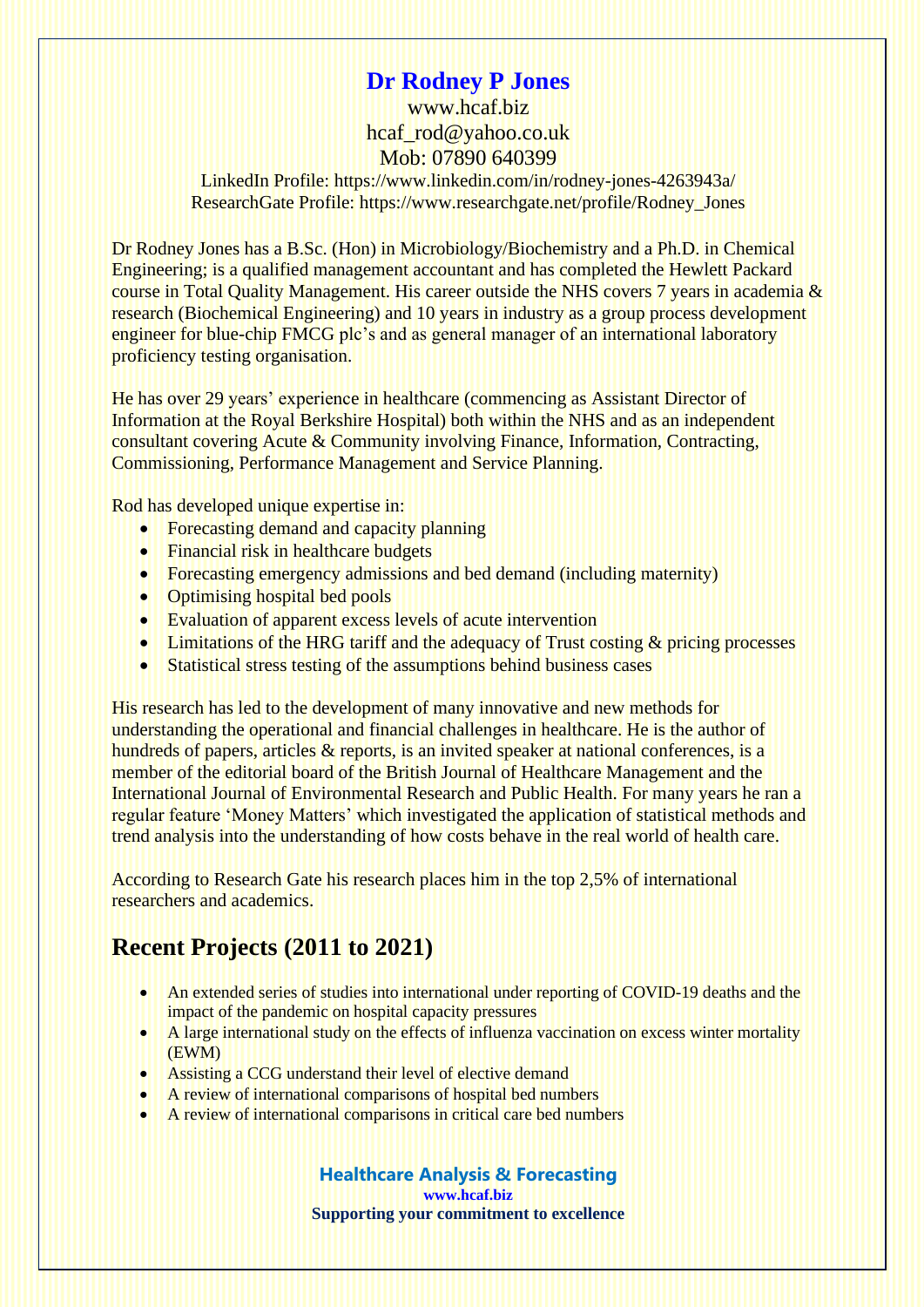## **Dr Rodney P Jones**

[www.hcaf.biz](http://www.hcaf.biz/) [hcaf\\_rod@yahoo.co.uk](mailto:hcaf_rod@yahoo.co.uk) Mob: 07890 640399

LinkedIn Profile:<https://www.linkedin.com/in/rodney-jones-4263943a/> ResearchGate Profile: [https://www.researchgate.net/profile/Rodney\\_Jones](https://www.researchgate.net/profile/Rodney_Jones)

Dr Rodney Jones has a B.Sc. (Hon) in Microbiology/Biochemistry and a Ph.D. in Chemical Engineering; is a qualified management accountant and has completed the Hewlett Packard course in Total Quality Management. His career outside the NHS covers 7 years in academia & research (Biochemical Engineering) and 10 years in industry as a group process development engineer for blue-chip FMCG plc's and as general manager of an international laboratory proficiency testing organisation.

He has over 29 years' experience in healthcare (commencing as Assistant Director of Information at the Royal Berkshire Hospital) both within the NHS and as an independent consultant covering Acute & Community involving Finance, Information, Contracting, Commissioning, Performance Management and Service Planning.

Rod has developed unique expertise in:

- Forecasting demand and capacity planning
- Financial risk in healthcare budgets
- Forecasting emergency admissions and bed demand (including maternity)
- Optimising hospital bed pools
- Evaluation of apparent excess levels of acute intervention
- Limitations of the HRG tariff and the adequacy of Trust costing & pricing processes
- Statistical stress testing of the assumptions behind business cases

His research has led to the development of many innovative and new methods for understanding the operational and financial challenges in healthcare. He is the author of hundreds of papers, articles & reports, is an invited speaker at national conferences, is a member of the editorial board of the British Journal of Healthcare Management and the International Journal of Environmental Research and Public Health. For many years he ran a regular feature 'Money Matters' which investigated the application of statistical methods and trend analysis into the understanding of how costs behave in the real world of health care.

According to Research Gate his research places him in the top 2,5% of international researchers and academics.

## **Recent Projects (2011 to 2021)**

- An extended series of studies into international under reporting of COVID-19 deaths and the impact of the pandemic on hospital capacity pressures
- A large international study on the effects of influenza vaccination on excess winter mortality (EWM)
- Assisting a CCG understand their level of elective demand
- A review of international comparisons of hospital bed numbers
- A review of international comparisons in critical care bed numbers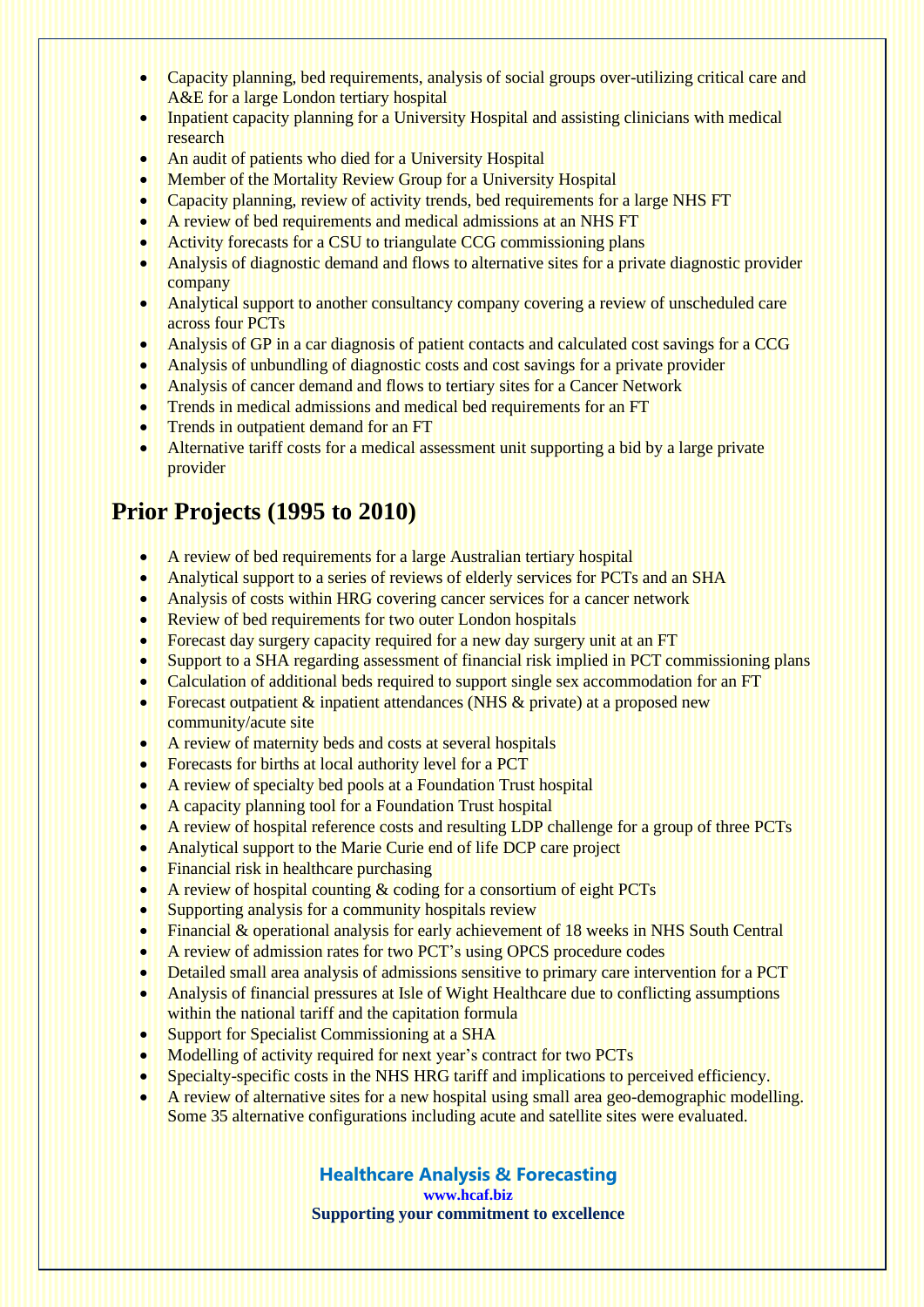- Capacity planning, bed requirements, analysis of social groups over-utilizing critical care and A&E for a large London tertiary hospital
- Inpatient capacity planning for a University Hospital and assisting clinicians with medical research
- An audit of patients who died for a University Hospital
- Member of the Mortality Review Group for a University Hospital
- Capacity planning, review of activity trends, bed requirements for a large NHS FT
- A review of bed requirements and medical admissions at an NHS FT
- Activity forecasts for a CSU to triangulate CCG commissioning plans
- Analysis of diagnostic demand and flows to alternative sites for a private diagnostic provider company
- Analytical support to another consultancy company covering a review of unscheduled care across four PCTs
- Analysis of GP in a car diagnosis of patient contacts and calculated cost savings for a CCG
- Analysis of unbundling of diagnostic costs and cost savings for a private provider
- Analysis of cancer demand and flows to tertiary sites for a Cancer Network
- Trends in medical admissions and medical bed requirements for an FT
- Trends in outpatient demand for an FT
- Alternative tariff costs for a medical assessment unit supporting a bid by a large private provider

# **Prior Projects (1995 to 2010)**

- A review of bed requirements for a large Australian tertiary hospital
- Analytical support to a series of reviews of elderly services for PCTs and an SHA
- Analysis of costs within HRG covering cancer services for a cancer network
- Review of bed requirements for two outer London hospitals
- Forecast day surgery capacity required for a new day surgery unit at an FT
- Support to a SHA regarding assessment of financial risk implied in PCT commissioning plans
- Calculation of additional beds required to support single sex accommodation for an FT
- Forecast outpatient & inpatient attendances (NHS & private) at a proposed new community/acute site
- A review of maternity beds and costs at several hospitals
- Forecasts for births at local authority level for a PCT
- A review of specialty bed pools at a Foundation Trust hospital
- A capacity planning tool for a Foundation Trust hospital
- A review of hospital reference costs and resulting LDP challenge for a group of three PCTs
- Analytical support to the Marie Curie end of life DCP care project
- Financial risk in healthcare purchasing
- A review of hospital counting & coding for a consortium of eight PCTs
- Supporting analysis for a community hospitals review
- Financial & operational analysis for early achievement of 18 weeks in NHS South Central
- A review of admission rates for two PCT's using OPCS procedure codes
- Detailed small area analysis of admissions sensitive to primary care intervention for a PCT
- Analysis of financial pressures at Isle of Wight Healthcare due to conflicting assumptions within the national tariff and the capitation formula
- Support for Specialist Commissioning at a SHA
- Modelling of activity required for next year's contract for two PCTs
- Specialty-specific costs in the NHS HRG tariff and implications to perceived efficiency.
- A review of alternative sites for a new hospital using small area geo-demographic modelling. Some 35 alternative configurations including acute and satellite sites were evaluated.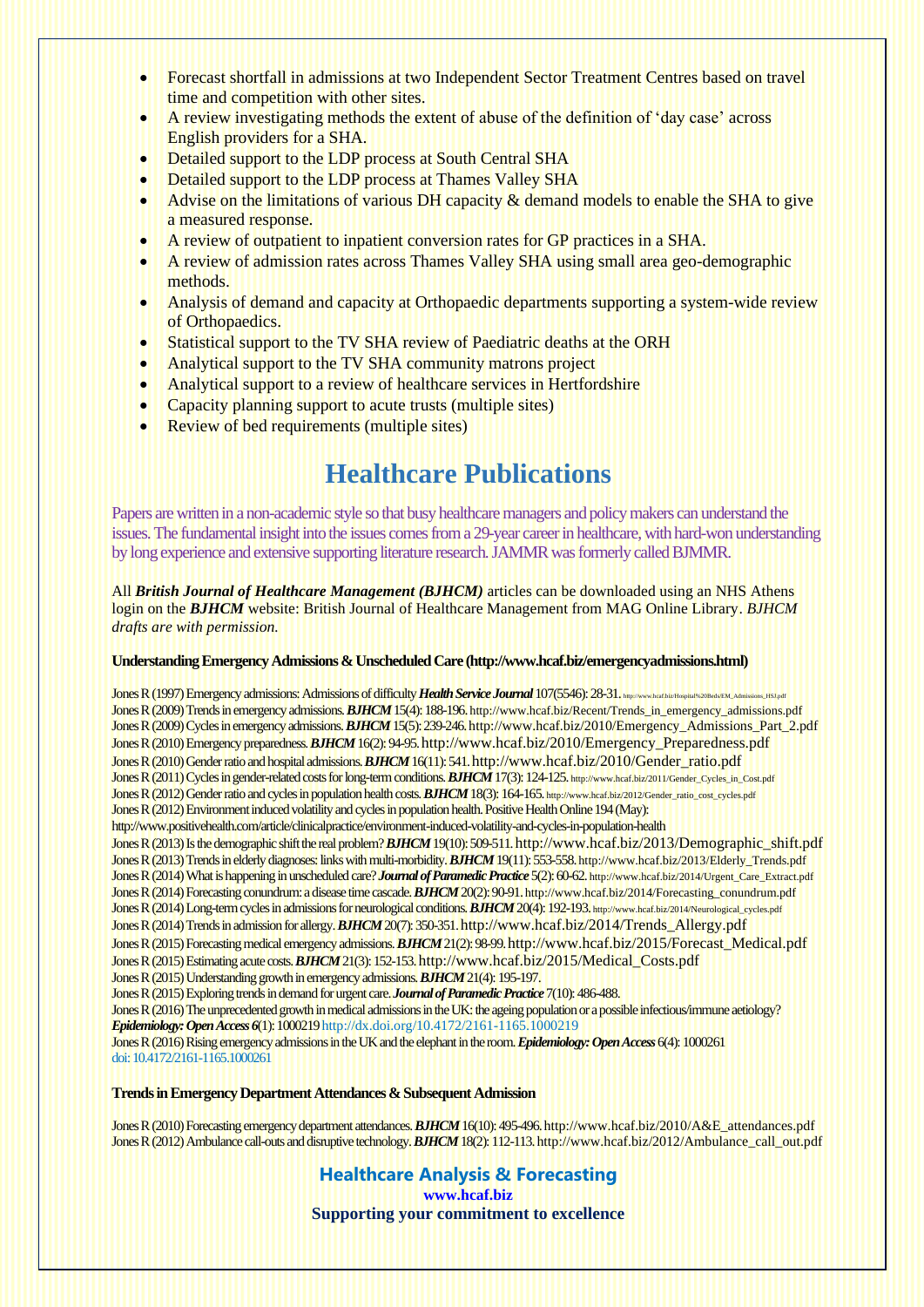- Forecast shortfall in admissions at two Independent Sector Treatment Centres based on travel time and competition with other sites.
- A review investigating methods the extent of abuse of the definition of 'day case' across English providers for a SHA.
- Detailed support to the LDP process at South Central SHA
- Detailed support to the LDP process at Thames Valley SHA
- Advise on the limitations of various DH capacity & demand models to enable the SHA to give a measured response.
- A review of outpatient to inpatient conversion rates for GP practices in a SHA.
- A review of admission rates across Thames Valley SHA using small area geo-demographic methods.
- Analysis of demand and capacity at Orthopaedic departments supporting a system-wide review of Orthopaedics.
- Statistical support to the TV SHA review of Paediatric deaths at the ORH
- Analytical support to the TV SHA community matrons project
- Analytical support to a review of healthcare services in Hertfordshire
- Capacity planning support to acute trusts (multiple sites)
- Review of bed requirements (multiple sites)

## **Healthcare Publications**

Papers are written in a non-academic style so that busy healthcare managers and policy makers can understand the issues. The fundamental insight into the issues comes from a 29-year career in healthcare, with hard-won understanding by long experience and extensive supporting literature research.JAMMR was formerly called BJMMR.

All *British Journal of Healthcare Management (BJHCM)* articles can be downloaded using an NHS Athens login on the *BJHCM* website: [British Journal of Healthcare Management from MAG Online Library.](https://www.magonlinelibrary.com/journal/bjhc) *BJHCM drafts are with permission.*

#### **Understanding Emergency Admissions & Unscheduled Care [\(http://www.hcaf.biz/emergencyadmissions.html\)](http://www.hcaf.biz/emergencyadmissions.html)**

Jones R (1997) Emergency admissions: Admissions of difficulty *Health Service Journal* 107(5546): 28-31. http://www.healthz/Ho Jones R (2009) Trends in emergency admissions. **BJHCM** 15(4): 188-196. [http://www.hcaf.biz/Recent/Trends\\_in\\_emergency\\_admissions.pdf](http://www.hcaf.biz/Recent/Trends_in_emergency_admissions.pdf) Jones R (2009) Cycles in emergency admissions. *BJHCM* 15(5): 239-246[.http://www.hcaf.biz/2010/Emergency\\_Admissions\\_Part\\_2.pdf](http://www.hcaf.biz/2010/Emergency_Admissions_Part_2.pdf) Jones R (2010) Emergency preparedness. *BJHCM* 16(2): 94-95.[http://www.hcaf.biz/2010/Emergency\\_Preparedness.pdf](http://www.hcaf.biz/2010/Emergency_Preparedness.pdf) Jones R (2010) Gender ratio and hospital admissions. *BJHCM* 16(11): 541.[http://www.hcaf.biz/2010/Gender\\_ratio.pdf](http://www.hcaf.biz/2010/Gender_ratio.pdf) Jones R (2011) Cycles in gender-related costs for long-term conditions. **BJHCM** 17(3): 124-125. [http://www.hcaf.biz/2011/Gender\\_Cycles\\_in\\_Cost.pdf](http://www.hcaf.biz/2011/Gender_Cycles_in_Cost.pdf) Jones R (2012) Gender ratio and cycles in population health costs. **BJHCM** 18(3): 164-165. [http://www.hcaf.biz/2012/Gender\\_ratio\\_cost\\_cycles.pdf](http://www.hcaf.biz/2012/Gender_ratio_cost_cycles.pdf) Jones R (2012) Environment induced volatility and cycles in population health. Positive Health Online 194 (May): <http://www.positivehealth.com/article/clinicalpractice/environment-induced-volatility-and-cycles-in-population-health> Jones R (2013) Is the demographic shift the real problem? *BJHCM* 19(10): 509-511.[http://www.hcaf.biz/2013/Demographic\\_shift.pdf](http://www.hcaf.biz/2013/Demographic_shift.pdf) Jones R (2013) Trends in elderly diagnoses: links with multi-morbidity. **BJHCM** 19(11): 553-558. [http://www.hcaf.biz/2013/Elderly\\_Trends.pdf](http://www.hcaf.biz/2013/Elderly_Trends.pdf) Jones R (2014) What is happening in unscheduled care? *Journal of Paramedic Practice* 5(2): 60-62. [http://www.hcaf.biz/2014/Urgent\\_Care\\_Extract.pdf](http://www.hcaf.biz/2014/Urgent_Care_Extract.pdf) Jones R (2014) Forecasting conundrum: a disease time cascade. *BJHCM* 20(2): 90-91.[http://www.hcaf.biz/2014/Forecasting\\_conundrum.pdf](http://www.hcaf.biz/2014/Forecasting_conundrum.pdf) Jones R (2014) Long-term cycles in admissions for neurological conditions. *BJHCM* 20(4): 192-193. [http://www.hcaf.biz/2014/Neurological\\_cycles.pdf](http://www.hcaf.biz/2014/Neurological_cycles.pdf) Jones R (2014) Trends in admission for allergy. *BJHCM* 20(7): 350-351.[http://www.hcaf.biz/2014/Trends\\_Allergy.pdf](http://www.hcaf.biz/2014/Trends_Allergy.pdf) Jones R (2015) Forecasting medical emergency admissions. *BJHCM* 21(2): 98-99.[http://www.hcaf.biz/2015/Forecast\\_Medical.pdf](http://www.hcaf.biz/2015/Forecast_Medical.pdf) Jones R (2015) Estimating acute costs. *BJHCM* 21(3): 152-153.[http://www.hcaf.biz/2015/Medical\\_Costs.pdf](http://www.hcaf.biz/2015/Medical_Costs.pdf) Jones R (2015) Understanding growth in emergency admissions. *BJHCM* 21(4): 195-197. Jones R (2015) Exploring trends in demand for urgent care. *Journal of Paramedic Practice*7(10): 486-488. Jones R (2016) The unprecedented growth in medical admissions in the UK: the ageing population or a possible infectious/immune aetiology? *Epidemiology: Open Access 6*(1): 100021[9http://dx.doi.org/10.4172/2161-1165.1000219](http://dx.doi.org/10.4172/2161-1165.1000219) Jones R (2016) Rising emergency admissions in the UK and the elephant in the room. *Epidemiology: Open Access*6(4): 1000261 doi: 10.4172/2161-1165.1000261

### **Trends in Emergency Department Attendances & Subsequent Admission**

Jones R (2010) Forecasting emergency department attendances. *BJHCM* 16(10): 495-496[.http://www.hcaf.biz/2010/A&E\\_attendances.pdf](http://www.hcaf.biz/2010/A&E_attendances.pdf) Jones R (2012) Ambulance call-outs and disruptive technology. *BJHCM* 18(2): 112-113[.http://www.hcaf.biz/2012/Ambulance\\_call\\_out.pdf](http://www.hcaf.biz/2012/Ambulance_call_out.pdf)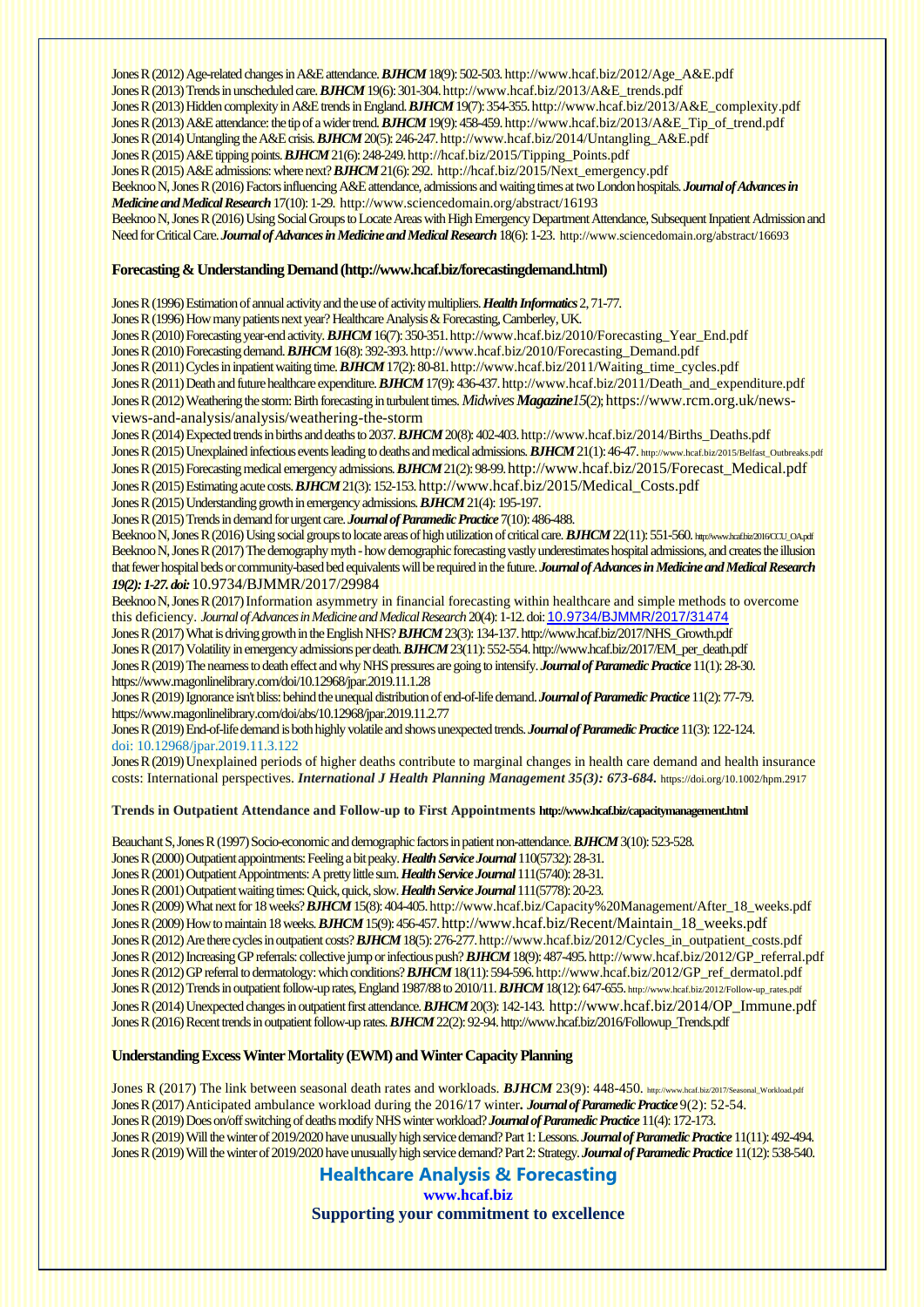Jones R (2012) Age-related changes in A&E attendance. *BJHCM* 18(9): 502-503. [http://www.hcaf.biz/2012/Age\\_A&E.pdf](http://www.hcaf.biz/2012/Age_A&E.pdf) Jones R (2013) Trends in unscheduled care. *BJHCM* 19(6): 301-304[.http://www.hcaf.biz/2013/A&E\\_trends.pdf](http://www.hcaf.biz/2013/A&E_trends.pdf) Jones R (2013) Hidden complexity in A&E trends in England. *BJHCM* 19(7): 354-35[5.http://www.hcaf.biz/2013/A&E\\_complexity.pdf](http://www.hcaf.biz/2013/A&E_complexity.pdf) Jones R (2013) A&E attendance: the tip of a wider trend. *BJHCM* 19(9): 458-459[.http://www.hcaf.biz/2013/A&E\\_Tip\\_of\\_trend.pdf](http://www.hcaf.biz/2013/A&E_Tip_of_trend.pdf) Jones R (2014) Untangling the A&E crisis. *BJHCM* 20(5): 246-24[7.http://www.hcaf.biz/2014/Untangling\\_A&E.pdf](http://www.hcaf.biz/2014/Untangling_A&E.pdf) Jones R (2015) A&E tipping points. **BJHCM** 21(6): 248-249. http://hcaf.biz/2015/Tipping\_Points.pdf Jones R (2015) A&E admissions: where next? *BJHCM* 21(6): 292. [http://hcaf.biz/2015/Next\\_emergency.pdf](http://hcaf.biz/2015/Next_emergency.pdf) Beeknoo N, Jones R (2016) Factors influencing A&E attendance, admissions and waiting times at two London hospitals. *Journal of Advances in Medicine and Medical Research*17(10): 1-29.<http://www.sciencedomain.org/abstract/16193> Beeknoo N, Jones R (2016) Using Social Groups to Locate Areas with High Emergency Department Attendance, Subsequent Inpatient Admission and Need for Critical Care. *Journal of Advances in Medicine and Medical Research*18(6): 1-23. <http://www.sciencedomain.org/abstract/16693>

#### **Forecasting & Understanding Demand[\(http://www.hcaf.biz/forecastingdemand.html\)](http://www.hcaf.biz/forecastingdemand.html)**

Jones R (1996) Estimation of annual activity and the use of activity multipliers. *Health Informatics*2, 71-77.

Jones R (1996) How many patients next year? Healthcare Analysis & Forecasting, Camberley, UK.

Jones R (2010) Forecasting year-end activity. **BJHCM** 16(7): 350-351. http://www.hcaf.biz/2010/Forecasting\_Year\_End.pdf Jones R (2010) Forecasting demand. *BJHCM* 16(8): 392-393. http://www.hcaf.biz/2010/Forecasting\_Demand.pdf Jones R (2011) Cycles in inpatient waiting time. *BJHCM* 17(2): 80-81[. http://www.hcaf.biz/2011/Waiting\\_time\\_cycles.pdf](http://www.hcaf.biz/2011/Waiting_time_cycles.pdf) Jones R (2011) Death and future healthcare expenditure. *BJHCM* 17(9): 436-437. [http://www.hcaf.biz/2011/Death\\_and\\_expenditure.pdf](http://www.hcaf.biz/2011/Death_and_expenditure.pdf) Jones R (2012) Weathering the storm: Birth forecasting in turbulent times.*MidwivesMagazine15*(2);[https://www.rcm.org.uk/news](https://www.rcm.org.uk/news-views-and-analysis/analysis/weathering-the-storm)[views-and-analysis/analysis/weathering-the-storm](https://www.rcm.org.uk/news-views-and-analysis/analysis/weathering-the-storm)

Jones R (2014) Expected trends in births and deaths to 2037. *BJHCM* 20(8): 402-40[3.http://www.hcaf.biz/2014/Births\\_Deaths.pdf](http://www.hcaf.biz/2014/Births_Deaths.pdf) Jones R (2015) Unexplained infectious events leading to deaths and medical admissions. **BJHCM** 21(1): 46-47. [http://www.hcaf.biz/2015/Belfast\\_Outbreaks.pdf](http://www.hcaf.biz/2015/Belfast_Outbreaks.pdf) Jones R (2015) Forecasting medical emergency admissions. *BJHCM* 21(2): 98-99.[http://www.hcaf.biz/2015/Forecast\\_Medical.pdf](http://www.hcaf.biz/2015/Forecast_Medical.pdf) Jones R (2015) Estimating acute costs. *BJHCM* 21(3): 152-153.[http://www.hcaf.biz/2015/Medical\\_Costs.pdf](http://www.hcaf.biz/2015/Medical_Costs.pdf) Jones R (2015) Understanding growth in emergency admissions. *BJHCM* 21(4): 195-197.

Jones R (2015) Trends in demand for urgent care. *Journal of Paramedic Practice*7(10): 486-488.

Beeknoo N, Jones R (2016) Using social groups to locate areas of high utilization of critical care. **BJHCM** 22(11): 551-560. http://www.hcaf.biz/2016CCU\_OA.pdf Beeknoo N, Jones R (2017) The demography myth -how demographic forecasting vastly underestimates hospital admissions, and creates the illusion that fewer hospital beds or community-based bed equivalents will be required in the future. *Journal of Advances in Medicine and Medical Research 19(2): 1-27. doi:* 10.9734/BJMMR/2017/29984

Beeknoo N, Jones R (2017) Information asymmetry in financial forecasting within healthcare and simple methods to overcome this deficiency. *Journal of Advances in Medicine and Medical Research* 20(4): 1-12.doi: [10.9734/BJMMR/2017/31474](https://doi.org/10.9734/BJMMR/2017/31474)

Jones R (2017) What is driving growth in the English NHS? *BJHCM* 23(3): 134-13[7.http://www.hcaf.biz/2017/NHS\\_Growth.pdf](http://www.hcaf.biz/2017/NHS_Growth.pdf) Jones R (2017) Volatility in emergency admissions per death. *BJHCM* 23(11): 552-554[. http://www.hcaf.biz/2017/EM\\_per\\_death.pdf](http://www.hcaf.biz/2017/EM_per_death.pdf) Jones R (2019) The nearness to death effect and why NHS pressures are going to intensify. *Journal of Paramedic Practice*11(1): 28-30. <https://www.magonlinelibrary.com/doi/10.12968/jpar.2019.11.1.28>

Jones R (2019) Ignorance isn't bliss: behind the unequal distribution of end-of-life demand. *Journal of Paramedic Practice*11(2): 77-79. <https://www.magonlinelibrary.com/doi/abs/10.12968/jpar.2019.11.2.77>

Jones R (2019) End-of-life demand is both highly volatile and shows unexpected trends. *Journal of Paramedic Practice*11(3): 122-124. doi: 10.12968/jpar.2019.11.3.122

Jones R (2019) Unexplained periods of higher deaths contribute to marginal changes in health care demand and health insurance costs: International perspectives. *International J Health Planning Management 35(3): 673-684.* <https://doi.org/10.1002/hpm.2917>

### **Trends in Outpatient Attendance and Follow-up to First Appointments <http://www.hcaf.biz/capacitymanagement.html>**

Beauchant S, Jones R (1997) Socio-economic and demographic factors in patient non-attendance. *BJHCM* 3(10): 523-528.

Jones R (2000) Outpatient appointments: Feeling a bit peaky. *Health Service Journal*110(5732): 28-31.

Jones R (2001) Outpatient Appointments: A pretty little sum. *Health Service Journal*111(5740): 28-31.

Jones R (2001) Outpatient waiting times: Quick, quick, slow. *Health Service Journal*111(5778): 20-23.

Jones R (2009) What next for 18 weeks? **BJHCM** 15(8): 404-405[. http://www.hcaf.biz/Capacity%20Management/After\\_18\\_weeks.pdf](http://www.hcaf.biz/Capacity%20Management/After_18_weeks.pdf) Jones R (2009) How to maintain 18 weeks. *BJHCM* 15(9): 456-457.[http://www.hcaf.biz/Recent/Maintain\\_18\\_weeks.pdf](http://www.hcaf.biz/Recent/Maintain_18_weeks.pdf) Jones R (2012) Are there cycles in outpatient costs?*BJHCM* 18(5): 276-27[7.http://www.hcaf.biz/2012/Cycles\\_in\\_outpatient\\_costs.pdf](http://www.hcaf.biz/2012/Cycles_in_outpatient_costs.pdf) Jones R (2012) Increasing GP referrals: collective jump or infectious push? *BJHCM* 18(9): 487-495[.http://www.hcaf.biz/2012/GP\\_referral.pdf](http://www.hcaf.biz/2012/GP_referral.pdf) Jones R (2012) GP referral to dermatology: which conditions? **BJHCM** 18(11): 594-596. http://www.hcaf.biz/2012/GP\_ref\_dermatol.pdf Jones R (2012) Trends in outpatient follow-up rates, England 1987/88 to 2010/11.*BJHCM* 18(12): 647-655. [http://www.hcaf.biz/2012/Follow-up\\_rates.pdf](http://www.hcaf.biz/2012/Follow-up_rates.pdf) Jones R (2014) Unexpected changes in outpatient first attendance. *BJHCM* 20(3): 142-143. [http://www.hcaf.biz/2014/OP\\_Immune.pdf](http://www.hcaf.biz/2014/OP_Immune.pdf) Jones R (2016) Recent trends in outpatient follow-up rates. *BJHCM*22(2): 92-94[. http://www.hcaf.biz/2016/Followup\\_Trends.pdf](http://www.hcaf.biz/2016/Followup_Trends.pdf)

### **Understanding Excess Winter Mortality (EWM) and Winter Capacity Planning**

Jones R (2017) The link between seasonal death rates and workloads. **BJHCM** 23(9): 448-450. [http://www.hcaf.biz/2017/Seasonal\\_Workload.pdf](http://www.hcaf.biz/2017/Seasonal_Workload.pdf) Jones R (2017) Anticipated ambulance workload during the 2016/17 winter*. Journal of Paramedic Practice*9(2): 52-54. Jones R (2019) Does on/off switching of deaths modify NHS winter workload?*Journal of Paramedic Practice*11(4): 172-173. Jones R (2019) Will the winter of 2019/2020 have unusually high service demand? Part 1: Lessons. *Journal of Paramedic Practice*11(11): 492-494. Jones R (2019) Will the winter of 2019/2020 have unusually high service demand? Part 2: Strategy. *Journal of Paramedic Practice*11(12): 538-540.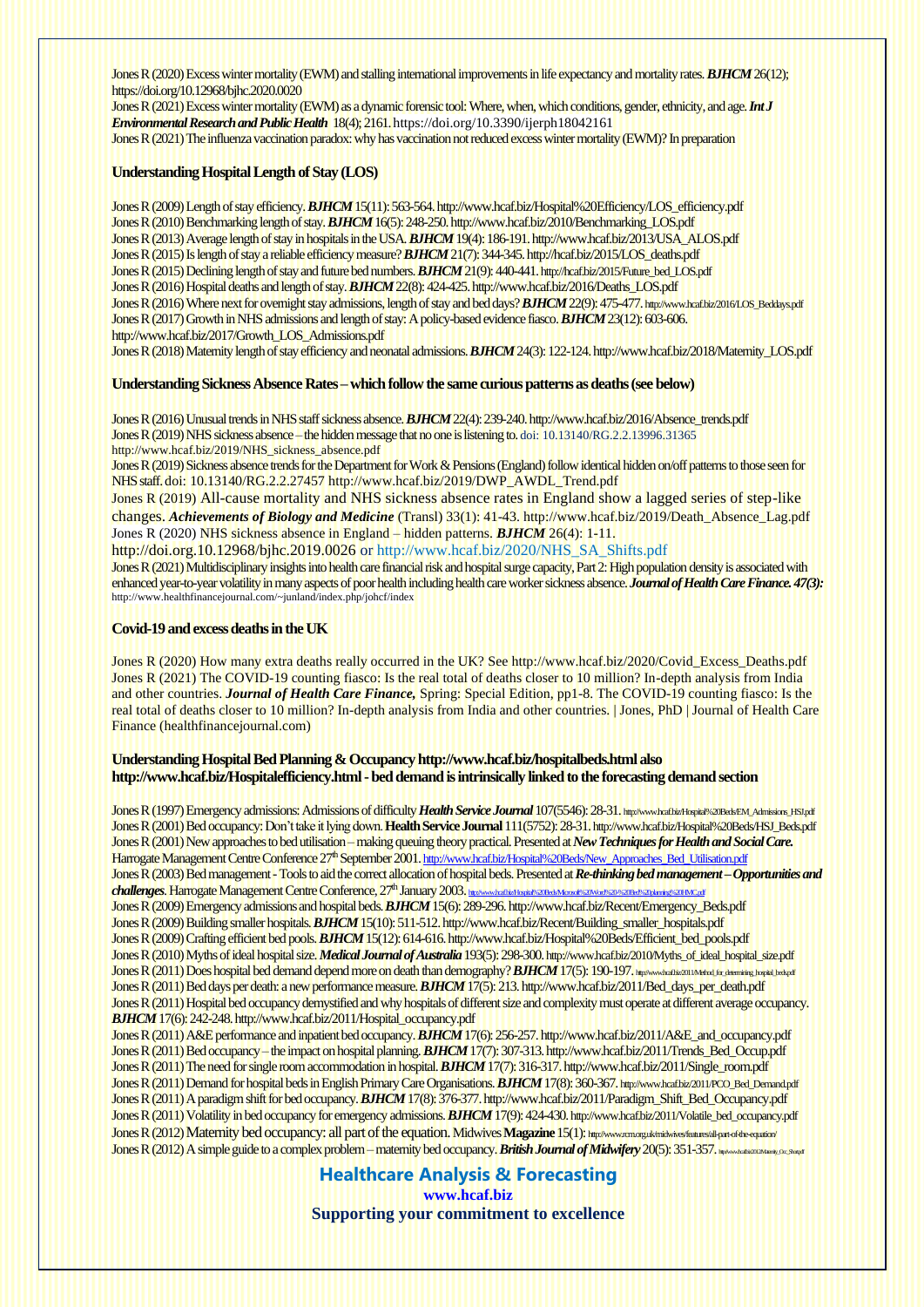Jones R (2020) Excess winter mortality (EWM) and stalling international improvements in life expectancy and mortality rates. *BJHCM* 26(12); <https://doi.org/10.12968/bjhc.2020.0020>

Jones R (2021) Excesswinter mortality (EWM) as a dynamic forensic tool: Where, when, which conditions, gender, ethnicity, and age. *Int J Environmental Research andPublic Health* 18(4); 2161[. https://doi.org/10.3390/ijerph18042161](https://doi.org/10.3390/ijerph18042161) Jones R (2021) The influenza vaccination paradox: why has vaccination not reduced excess winter mortality (EWM)? In preparation

#### **Understanding Hospital Length of Stay (LOS)**

Jones R (2009) Length of stay efficiency. *BJHCM* 15(11):563-564[.http://www.hcaf.biz/Hospital%20Efficiency/LOS\\_efficiency.pdf](http://www.hcaf.biz/Hospital%20Efficiency/LOS_efficiency.pdf) Jones R (2010) Benchmarking length of stay.*BJHCM* 16(5): 248-250[.http://www.hcaf.biz/2010/Benchmarking\\_LOS.pdf](http://www.hcaf.biz/2010/Benchmarking_LOS.pdf) Jones R (2013) Average length of stay in hospitals in the USA. *BJHCM* 19(4): 186-19[1. http://www.hcaf.biz/2013/USA\\_ALOS.pdf](http://www.hcaf.biz/2013/USA_ALOS.pdf) Jones R (2015) Is length of stay a reliable efficiency measure? *BJHCM*21(7): 344-345[. http://hcaf.biz/2015/LOS\\_deaths.pdf](http://hcaf.biz/2015/LOS_deaths.pdf) Jones R (2015) Declining length of stay and future bed numbers. *BJHCM*21(9): 440-441.[http://hcaf.biz/2015/Future\\_bed\\_LOS.pdf](http://hcaf.biz/2015/Future_bed_LOS.pdf) Jones R (2016) Hospital deaths and length of stay. *BJHCM* 22(8): 424-425[. http://www.hcaf.biz/2016/Deaths\\_LOS.pdf](http://www.hcaf.biz/2016/Deaths_LOS.pdf) Jones R (2016) Where next for overnight stay admissions, length of stay and bed days? **BJHCM** 22(9): 475-477. [http://www.hcaf.biz/2016/LOS\\_Beddays.pdf](http://www.hcaf.biz/2016/LOS_Beddays.pdf) Jones R (2017) Growth in NHS admissions and length of stay: A policy-based evidence fiasco. *BJHCM* 23(12): 603-606. [http://www.hcaf.biz/2017/Growth\\_LOS\\_Admissions.pdf](http://www.hcaf.biz/2017/Growth_LOS_Admissions.pdf)

Jones R (2018) Maternity length of stay efficiency and neonatal admissions. *BJHCM* 24(3): 122-124[. http://www.hcaf.biz/2018/Maternity\\_LOS.pdf](http://www.hcaf.biz/2018/Maternity_LOS.pdf)

#### **Understanding Sickness Absence Rates – which follow the same curious patterns as deaths (see below)**

Jones R (2016) Unusual trends in NHS staff sickness absence. **BJHCM** 22(4): 239-240. http://www.hcaf.biz/2016/Absence\_trends.pdf Jones R (2019) NHS sickness absence – the hidden message that no one is listening to, doi: 10.13140/RG.2.2.13996.31365 [http://www.hcaf.biz/2019/NHS\\_sickness\\_absence.pdf](http://www.hcaf.biz/2019/NHS_sickness_absence.pdf) Jones R (2019) Sickness absence trends for the Department for Work & Pensions (England) follow identical hidden on/off patterns to those seen for NHS staff. doi: 10.13140/RG.2.2.27457 [http://www.hcaf.biz/2019/DWP\\_AWDL\\_Trend.pdf](http://www.hcaf.biz/2019/DWP_AWDL_Trend.pdf) Jones R (2019) All-cause mortality and NHS sickness absence rates in England show a lagged series of step-like changes. *Achievements of Biology and Medicine* (Transl) 33(1): 41-43[. http://www.hcaf.biz/2019/Death\\_Absence\\_Lag.pdf](http://www.hcaf.biz/2019/Death_Absence_Lag.pdf) Jones R (2020) NHS sickness absence in England – hidden patterns. *BJHCM* 26(4): 1-11.

<http://doi.org.10.12968/bjhc.2019.0026> or [http://www.hcaf.biz/2020/NHS\\_SA\\_Shifts.pdf](http://www.hcaf.biz/2020/NHS_SA_Shifts.pdf)

Jones R (2021) Multidisciplinary insights into health care financial risk and hospital surge capacity, Part 2: High population density is associated with enhanced year-to-year volatility in many aspects of poor health including health care worker sickness absence. *Journal of Health Care Finance. 47(3):*  <http://www.healthfinancejournal.com/~junland/index.php/johcf/index>

#### **Covid-19 and excess deaths in the UK**

Jones R (2020) How many extra deaths really occurred in the UK? [See http://www.hcaf.biz/2020/Covid\\_Excess\\_Deaths.pdf](http://www.hcaf.biz/2020/Covid_Excess_Deaths.pdf) Jones R (2021) The COVID-19 counting fiasco: Is the real total of deaths closer to 10 million? In-depth analysis from India and other countries. *Journal of Health Care Finance,* Spring: Special Edition, pp1-8. [The COVID-19 counting fiasco: Is the](http://www.healthfinancejournal.com/~junland/index.php/johcf/article/view/256/256)  [real total of deaths closer to 10 million? In-depth analysis from India and other countries. | Jones, PhD | Journal of Health Care](http://www.healthfinancejournal.com/~junland/index.php/johcf/article/view/256/256)  [Finance \(healthfinancejournal.com\)](http://www.healthfinancejournal.com/~junland/index.php/johcf/article/view/256/256)

#### **Understanding Hospital Bed Planning & Occupanc[y http://www.hcaf.biz/hospitalbeds.html](http://www.hcaf.biz/hospitalbeds.html) also** http://www.hcaf.biz/Hospitalefficiency.html - bed demand is intrinsically linked to the forecasting demand section

Jones R (1997) Emergency admissions: Admissions of difficulty *Health Service Journal* 107(5546): 28-31. http://www.hcaf.biz/Hospital%20Beds/EM\_Admissions\_HSI.pdf Jones R (2001) Bed occupancy: Don't take it lying down. **Health Service Journal**111(5752):28-31.[http://www.hcaf.biz/Hospital%20Beds/HSJ\\_Beds.pdf](http://www.hcaf.biz/Hospital%20Beds/HSJ_Beds.pdf) Jones R (2001) New approaches to bed utilisation – making queuing theory practical. Presented at *New Techniques for Health and Social Care*. Harrogate Management Centre Conference 27<sup>th</sup> September 2001. http://www.hcaf.biz/Hospital%20Beds/New\_Approaches\_Bed\_Utilisation.pdf Jones R (2003) Bed management -Tools to aid the correct allocation of hospital beds. Presented at *Re-thinking bed management –Opportunities and* **challenges**. Harrogate Management Centre Conference, 27<sup>th</sup> January 2003. http://www.hcaft.biz/Hospital%20Beds/Microsoft%20Word%20Bed%20Ad Jones R (2009) Emergency admissions and hospital beds. *BJHCM* 15(6): 289-296. [http://www.hcaf.biz/Recent/Emergency\\_Beds.pdf](http://www.hcaf.biz/Recent/Emergency_Beds.pdf) Jones R (2009) Building smaller hospitals. *BJHCM* 15(10):511-512[.http://www.hcaf.biz/Recent/Building\\_smaller\\_hospitals.pdf](http://www.hcaf.biz/Recent/Building_smaller_hospitals.pdf) Jones R (2009) Crafting efficient bed pools. *BJHCM* 15(12):614-61[6.http://www.hcaf.biz/Hospital%20Beds/Efficient\\_bed\\_pools.pdf](http://www.hcaf.biz/Hospital%20Beds/Efficient_bed_pools.pdf) Jones R (2010) Myths of ideal hospital size. *Medical Journal of Australia*193(5): 298-300. [http://www.hcaf.biz/2010/Myths\\_of\\_ideal\\_hospital\\_size.pdf](http://www.hcaf.biz/2010/Myths_of_ideal_hospital_size.pdf) Jones R (2011) Does hospital bed demand depend more on death than demography? *BJHCM* 17(5): 190-197. http://www.hcaft.biz.pdf/2011/Method\_for\_determining\_ Jones R (2011) Bed days per death: a new performance measure. *BJHCM* 17(5): 213[. http://www.hcaf.biz/2011/Bed\\_days\\_per\\_death.pdf](http://www.hcaf.biz/2011/Bed_days_per_death.pdf) Jones R (2011) Hospital bed occupancy demystified and why hospitals of different size and complexity must operate at different average occupancy. *BJHCM* 17(6): 242-248[.http://www.hcaf.biz/2011/Hospital\\_occupancy.pdf](http://www.hcaf.biz/2011/Hospital_occupancy.pdf) Jones R (2011) A&E performance and inpatient bed occupancy. *BJHCM* 17(6): 256-257[. http://www.hcaf.biz/2011/A&E\\_and\\_occupancy.pdf](http://www.hcaf.biz/2011/A&E_and_occupancy.pdf) Jones R (2011) Bed occupancy – the impact on hospital planning. *BJHCM* 17(7): 307-313[. http://www.hcaf.biz/2011/Trends\\_Bed\\_Occup.pdf](http://www.hcaf.biz/2011/Trends_Bed_Occup.pdf) Jones R (2011) The need for single room accommodation in hospital. *BJHCM* 17(7): 316-317[. http://www.hcaf.biz/2011/Single\\_room.pdf](http://www.hcaf.biz/2011/Single_room.pdf) Jones R (2011) Demand for hospital beds in English Primary Care Organisations. **BJHCM** 17(8): 360-367. [http://www.hcaf.biz/2011/PCO\\_Bed\\_Demand.pdf](http://www.hcaf.biz/2011/PCO_Bed_Demand.pdf) Jones R (2011) A paradigm shift for bed occupancy. *BJHCM* 17(8): 376-377[.http://www.hcaf.biz/2011/Paradigm\\_Shift\\_Bed\\_Occupancy.pdf](http://www.hcaf.biz/2011/Paradigm_Shift_Bed_Occupancy.pdf) Jones R (2011) Volatility in bed occupancy for emergency admissions. **BJHCM** 17(9): 424-430. [http://www.hcaf.biz/2011/Volatile\\_bed\\_occupancy.pdf](http://www.hcaf.biz/2011/Volatile_bed_occupancy.pdf) Jones R (2012) Maternity bed occupancy: all part of the equation. Midwives Magazine 15(1): <http://www.rcm.org.uk/midwives/features/all-part-of-the-equation/> Jones R (2012) A simple guide to a complex problem – maternity bed occupancy. *British Journal of Midwifery* 20(5): 351-357.  $m$ <sup>2012</sup>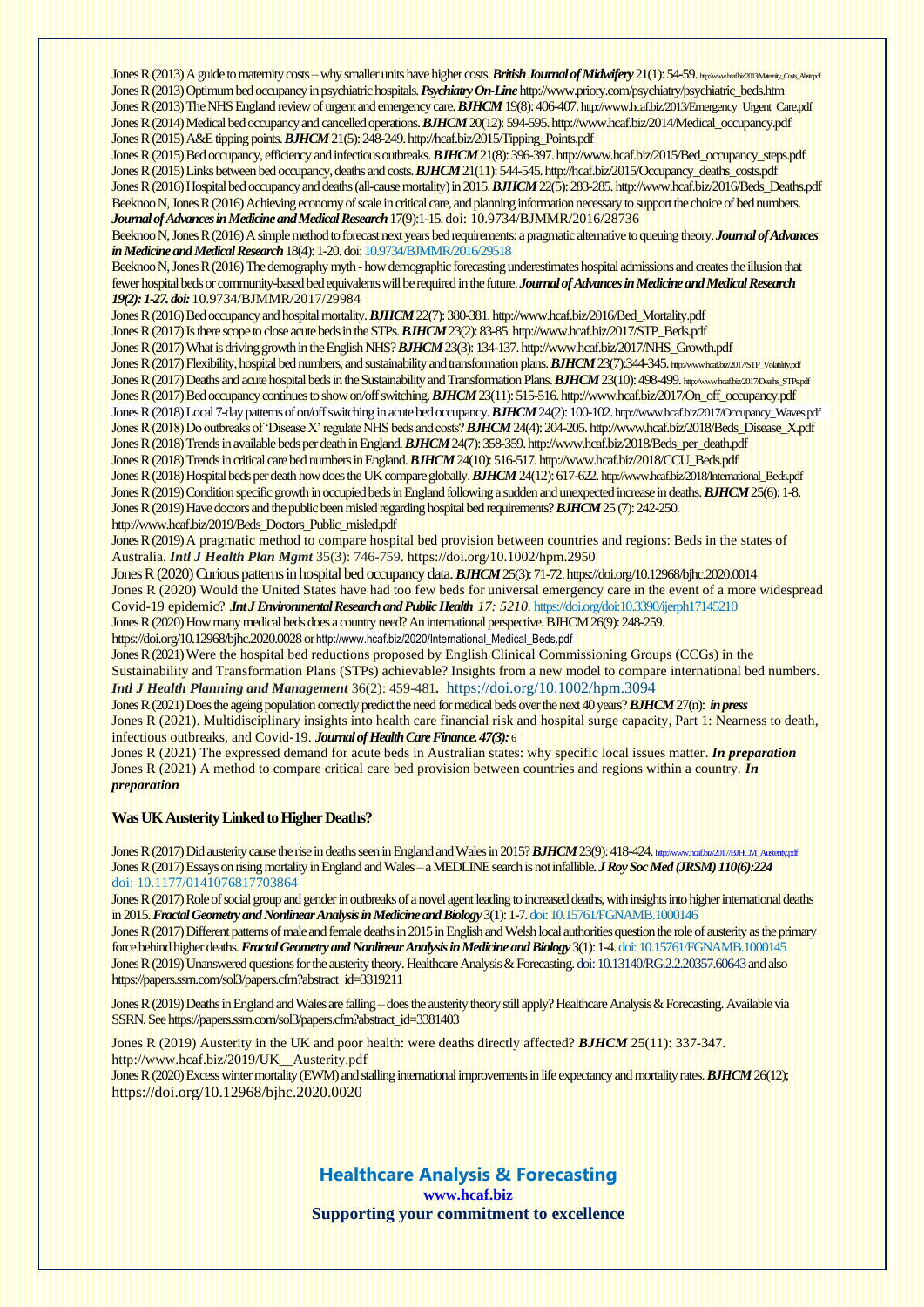Jones R (2013) A guide to maternity costs – why smaller units have higher costs. **British Journal of Midwifery** 21(1): 54-59. http://www.hcaf.biz013Maartiv.Costs. Abstr.pdf Jones R (2013) Optimum bed occupancy in psychiatric hospitals. *Psychiatry On-Line*[http://www.priory.com/psychiatry/psychiatric\\_beds.htm](http://www.priory.com/psychiatry/psychiatric_beds.htm) Jones R (2013) The NHS England review of urgent and emergency care. *BJHCM* 19(8): 406-407.[http://www.hcaf.biz/2013/Emergency\\_Urgent\\_Care.pdf](http://www.hcaf.biz/2013/Emergency_Urgent_Care.pdf) Jones R (2014) Medical bed occupancy and cancelled operations. *BJHCM* 20(12): 594-595[.http://www.hcaf.biz/2014/Medical\\_occupancy.pdf](http://www.hcaf.biz/2014/Medical_occupancy.pdf) Jones R (2015) A&E tipping points. *BJHCM*21(5): 248-24[9. http://hcaf.biz/2015/Tipping\\_Points.pdf](http://hcaf.biz/2015/Tipping_Points.pdf)

Jones R (2015) Bed occupancy, efficiency and infectious outbreaks. *BJHCM*21(8): 396-397[. http://www.hcaf.biz/2015/Bed\\_occupancy\\_steps.pdf](http://www.hcaf.biz/2015/Bed_occupancy_steps.pdf) Jones R (2015) Links between bed occupancy, deaths and costs. *BJHCM*21(11): 544-545[. http://hcaf.biz/2015/Occupancy\\_deaths\\_costs.pdf](http://hcaf.biz/2015/Occupancy_deaths_costs.pdf) Jones R (2016) Hospital bed occupancy and deaths (all-cause mortality) in 2015. *BJHCM*22(5): 283-285[. http://www.hcaf.biz/2016/Beds\\_Deaths.pdf](http://www.hcaf.biz/2016/Beds_Deaths.pdf) Beeknoo N, Jones R (2016) Achieving economy of scale in critical care, and planning information necessary to support the choice of bed numbers. *Journal of Advances in Medicine and Medical Research*17(9):1-15. doi[: 10.9734/BJMMR/2016/28736](https://doi.org/10.9734/BJMMR/2016/28736)

Beeknoo N, Jones R (2016) A simple method to forecast next years bed requirements: a pragmatic alternative to queuing theory. *Journal of Advances in Medicine and Medical Research*18(4): 1-20.doi: 10.9734/BJMMR/2016/29518

Beeknoo N, Jones R (2016) The demography myth -how demographic forecastingunderestimates hospital admissions and creates the illusion that fewer hospital beds or community-based bed equivalents will be required in the future. *Journal of Advances in Medicine and Medical Research 19(2): 1-27. doi:* 10.9734/BJMMR/2017/29984

Jones R (2016) Bed occupancy and hospital mortality. *BJHCM* 22(7): 380-381[. http://www.hcaf.biz/2016/Bed\\_Mortality.pdf](http://www.hcaf.biz/2016/Bed_Mortality.pdf) Jones R (2017) Is there scope to close acute beds in the STPs. *BJHCM* 23(2): 83-85[. http://www.hcaf.biz/2017/STP\\_Beds.pdf](http://www.hcaf.biz/2017/STP_Beds.pdf) Jones R (2017) What is driving growth in the English NHS? *BJHCM* 23(3): 134-13[7. http://www.hcaf.biz/2017/NHS\\_Growth.pdf](http://www.hcaf.biz/2017/NHS_Growth.pdf) Jones R (2017) Flexibility, hospital bed numbers, and sustainability and transformation plans. **BJHCM** 23(7):344-345. [http://www.hcaf.biz/2017/STP\\_Volatility.pdf](http://www.hcaf.biz/2017/STP_Volatility.pdf) Jones R (2017) Deaths and acute hospital beds in the Sustainability and Transformation Plans. **BJHCM 23(10): 498-499.** http://www.hcafbiz/2017/Deaths\_STPs.pdf Jones R (2017) Bed occupancy continues to show on/off switching. *BJHCM* 23(11): 515-516[.http://www.hcaf.biz/2017/On\\_off\\_occupancy.pdf](http://www.hcaf.biz/2017/On_off_occupancy.pdf) Jones R (2018) Local 7-day patterns of on/off switching in acute bed occupancy. *BJHCM* 24(2): 100-102. [http://www.hcaf.biz/2017/Occupancy\\_Waves.pdf](http://www.hcaf.biz/2017/Occupancy_Waves.pdf) Jones R (2018) Do outbreaks of 'Disease X' regulate NHS beds and costs? *BJHCM*24(4): 204-205[. http://www.hcaf.biz/2018/Beds\\_Disease\\_X.pdf](http://www.hcaf.biz/2018/Beds_Disease_X.pdf) Jones R (2018) Trends in available beds per death in England.*BJHCM*24(7): 358-359[. http://www.hcaf.biz/2018/Beds\\_per\\_death.pdf](http://www.hcaf.biz/2018/Beds_per_death.pdf) Jones R (2018) Trends in critical care bed numbers in England. *BJHCM* 24(10): 516-517[.http://www.hcaf.biz/2018/CCU\\_Beds.pdf](http://www.hcaf.biz/2018/CCU_Beds.pdf) Jones R (2018) Hospital beds per death how does the UK compare globally. **BJHCM** 24(12): 617-622. [http://www.hcaf.biz/2018/International\\_Beds.pdf](http://www.hcaf.biz/2018/International_Beds.pdf) Jones R (2019) Condition specific growth in occupied beds in England following a sudden and unexpected increase in deaths. *BJHCM* 25(6): 1-8. Jones R (2019) Have doctors and the public been misled regarding hospital bed requirements? *BJHCM* 25 (7): 242-250.

[http://www.hcaf.biz/2019/Beds\\_Doctors\\_Public\\_misled.pdf](http://www.hcaf.biz/2019/Beds_Doctors_Public_misled.pdf) Jones R (2019) A pragmatic method to compare hospital bed provision between countries and regions: Beds in the states of Australia. *Intl J Health Plan Mgmt* 35(3): 746-759. <https://doi.org/10.1002/hpm.2950>

Jones R (2020) Curious patterns in hospital bed occupancy data. *BJHCM* 25(3): 71-72[. https://doi.org/10.12968/bjhc.2020.0014](https://doi.org/10.12968/bjhc.2020.0014) Jones R (2020) Would the United States have had too few beds for universal emergency care in the event of a more widespread Covid-19 epidemic? *Int J Environmental Research and Public Health 17: 5210.* <https://doi.org/doi:10.3390/ijerph17145210> Jones R (2020) How many medical beds does a country need? An international perspective. BJHCM 26(9): 248-259. https://doi.org/10.12968/bjhc.2020.0028 or [http://www.hcaf.biz/2020/International\\_Medical\\_Beds.pdf](http://www.hcaf.biz/2020/International_Medical_Beds.pdf)

Jones R (2021) Were the hospital bed reductions proposed by English Clinical Commissioning Groups (CCGs) in the Sustainability and Transformation Plans (STPs) achievable? Insights from a new model to compare international bed numbers. *Intl J Health Planning and Management* 36(2): 459-481*.* <https://doi.org/10.1002/hpm.3094>

Jones R (2021) Does the ageing population correctly predict the need for medical beds over the next 40 years?*BJHCM*27(n): *in press* Jones R (2021). Multidisciplinary insights into health care financial risk and hospital surge capacity, Part 1: Nearness to death, infectious outbreaks, and Covid-19. *Journal of Health Care Finance. 47(3):* 6

Jones R (2021) The expressed demand for acute beds in Australian states: why specific local issues matter. *In preparation* Jones R (2021) A method to compare critical care bed provision between countries and regions within a country. *In preparation*

#### **Was UK Austerity Linked to Higher Deaths?**

Jones R (2017) Did austerity cause the rise in deaths seen in England and Wales in 2015? **BJHCM** 23(9): 418-424. [http://www.hcaf.biz/2017/BJHCM\\_Austerity.pdf](http://www.hcaf.biz/2017/BJHCM_Austerity.pdf) Jones R (2017) Essays on rising mortality in England and Wales –a MEDLINE search is not infallible**.** *J Roy Soc Med (JRSM)110(6):224* doi: 10.1177/0141076817703864

Jones R (2017) Role of social group and gender in outbreaks of a novel agent leading to increased deaths, with insights into higher international deaths in 2015.*Fractal Geometry and Nonlinear Analysis in Medicine and Biology*3(1): 1-7. doi: 10.15761/FGNAMB.1000146

Jones R (2017) Different patterns of male and female deaths in 2015 in English and Welsh local authorities question the role of austerity as the primary force behind higher deaths. *Fractal Geometry and Nonlinear Analysis in Medicine and Biology*3(1): 1-4. doi: 10.15761/FGNAMB.1000145 Jones R (2019) Unanswered questions for the austerity theory. Healthcare Analysis & Forecasting. doi: 10.13140/RG.2.2.20357.60643and also [https://papers.ssrn.com/sol3/papers.cfm?abstract\\_id=3319211](https://papers.ssrn.com/sol3/papers.cfm?abstract_id=3319211)

Jones R (2019) Deaths in England and Wales are falling – does the austerity theory still apply? Healthcare Analysis & Forecasting. Available via SSRN.Se[e https://papers.ssrn.com/sol3/papers.cfm?abstract\\_id=3381403](https://papers.ssrn.com/sol3/papers.cfm?abstract_id=3381403)

Jones R (2019) Austerity in the UK and poor health: were deaths directly affected? *BJHCM* 25(11): 337-347. [http://www.hcaf.biz/2019/UK\\_\\_Austerity.pdf](http://www.hcaf.biz/2019/UK__Austerity.pdf)

Jones R (2020) Excess winter mortality (EWM) and stalling international improvements in life expectancy and mortality rates. *BJHCM* 26(12); https://doi.org/10.12968/bjhc.2020.0020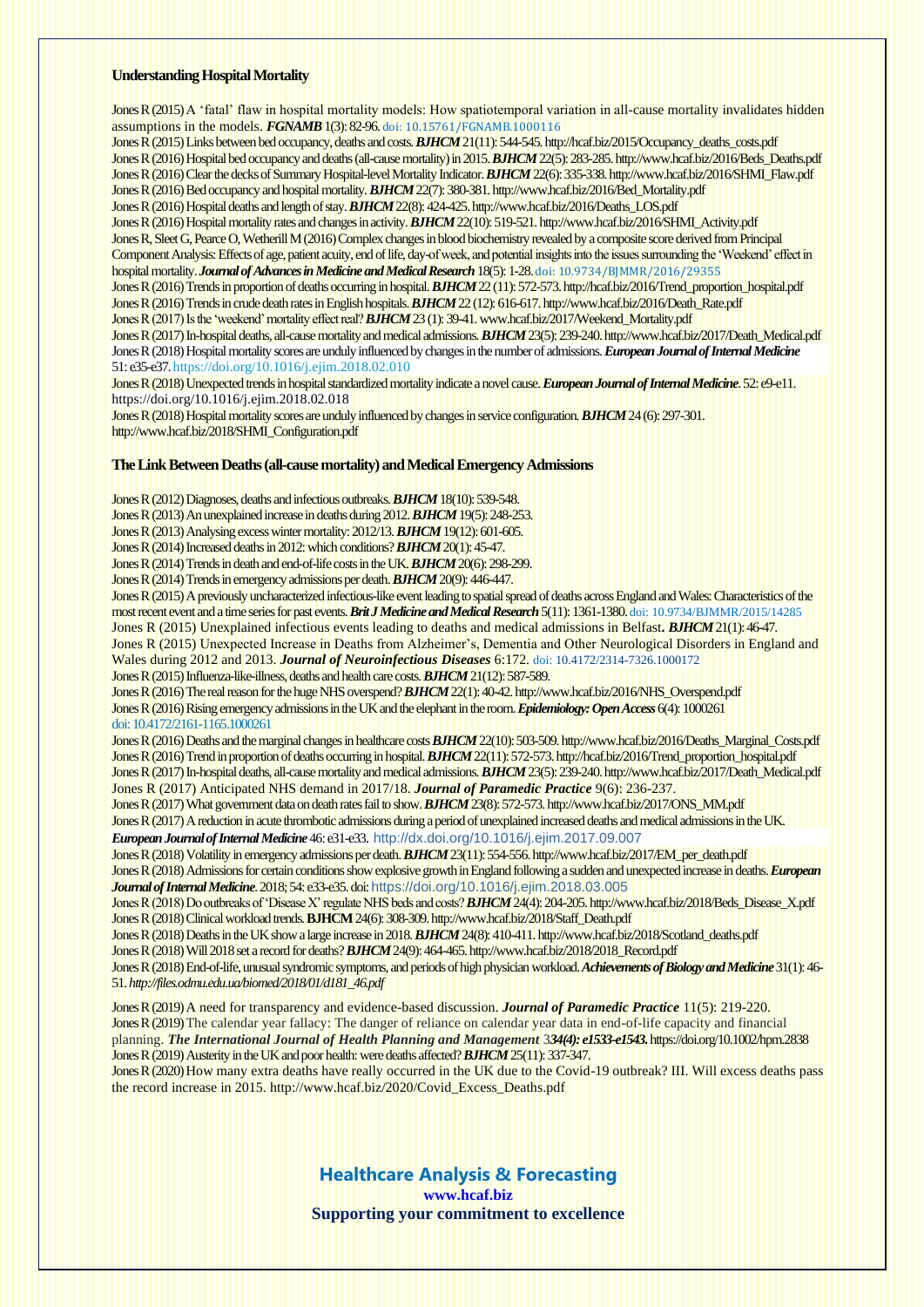#### **Understanding Hospital Mortality**

Jones R (2015) A 'fatal' flaw in hospital mortality models: How spatiotemporal variation in all-cause mortality invalidates hidden assumptions in the models. *FGNAMB* 1(3): 82-96. doi: 10.15761/FGNAMB.1000116

Jones R (2015) Links between bed occupancy, deaths and costs. *BJHCM*21(11): 544-545[. http://hcaf.biz/2015/Occupancy\\_deaths\\_costs.pdf](http://hcaf.biz/2015/Occupancy_deaths_costs.pdf) Jones R (2016) Hospital bed occupancy and deaths (all-cause mortality) in 2015. *BJHCM*22(5): 283-285[. http://www.hcaf.biz/2016/Beds\\_Deaths.pdf](http://www.hcaf.biz/2016/Beds_Deaths.pdf) Jones R (2016) Clear the decks of Summary Hospital-level Mortality Indicator. **BJHCM** 22(6): 335-338[. http://www.hcaf.biz/2016/SHMI\\_Flaw.pdf](http://www.hcaf.biz/2016/SHMI_Flaw.pdf) Jones R (2016) Bed occupancy and hospital mortality. *BJHCM* 22(7): 380-381[. http://www.hcaf.biz/2016/Bed\\_Mortality.pdf](http://www.hcaf.biz/2016/Bed_Mortality.pdf) Jones R (2016) Hospital deaths and length of stay. *BJHCM* 22(8): 424-425[. http://www.hcaf.biz/2016/Deaths\\_LOS.pdf](http://www.hcaf.biz/2016/Deaths_LOS.pdf) Jones R (2016) Hospital mortality rates and changes in activity. *BJHCM* 22(10): 519-521[. http://www.hcaf.biz/2016/SHMI\\_Activity.pdf](http://www.hcaf.biz/2016/SHMI_Activity.pdf) Jones R, Sleet G, Pearce O, Wetherill M (2016) Complex changes in blood biochemistry revealed by a composite score derived from Principal Component Analysis: Effects of age, patient acuity, end of life, day-of week, and potential insights into the issues surrounding the 'Weekend' effect in hospital mortality. *Journal of Advances in Medicine and Medical Research*18(5): 1-28. doi: 10.9734/BJMMR/2016/29355 Jones R (2016) Trends in proportion of deaths occurring in hospital. *BJHCM* 22 (11): 572-573[. http://hcaf.biz/2016/Trend\\_proportion\\_hospital.pdf](http://hcaf.biz/2016/Trend_proportion_hospital.pdf) Jones R (2016) Trends in crude death rates in English hospitals. *BJHCM* 22 (12): 616-617[. http://www.hcaf.biz/2016/Death\\_Rate.pdf](http://www.hcaf.biz/2016/Death_Rate.pdf) Jones R (2017) Is the 'weekend' mortality effect real? *BJHCM* 23 (1): 39-41[. www.hcaf.biz/2017/Weekend\\_Mortality.pdf](http://www.hcaf.biz/2017/Weekend_Mortality.pdf) Jones R (2017) In-hospital deaths, all-cause mortality and medical admissions. *BJHCM*23(5): 239-240[. http://www.hcaf.biz/2017/Death\\_Medical.pdf](http://www.hcaf.biz/2017/Death_Medical.pdf) Jones R (2018) Hospital mortality scores are unduly influenced by changes in the number of admissions. *European Journal of Internal Medicine*

51: e35-e37[. https://doi.org/10.1016/j.ejim.2018.02.010](https://doi.org/10.1016/j.ejim.2018.02.010) Jones R (2018) Unexpected trends in hospital standardized mortality indicate a novel cause. *European Journal of Internal Medicine*. 52: e9-e11. <https://doi.org/10.1016/j.ejim.2018.02.018>

Jones R (2018) Hospital mortality scores are unduly influenced by changes in service configuration. *BJHCM* 24 (6): 297-301. [http://www.hcaf.biz/2018/SHMI\\_Configuration.pdf](http://www.hcaf.biz/2018/SHMI_Configuration.pdf)

#### **The Link Between Deaths (all-cause mortality) and Medical Emergency Admissions**

Jones R (2012) Diagnoses, deaths and infectious outbreaks. *BJHCM* 18(10): 539-548.

Jones R (2013) An unexplained increase in deaths during 2012. *BJHCM* 19(5): 248-253.

Jones R (2013) Analysing excess winter mortality: 2012/13. *BJHCM* 19(12): 601-605.

Jones R (2014) Increased deaths in 2012: which conditions? *BJHCM* 20(1): 45-47.

Jones R (2014) Trends in death and end-of-life costs in the UK. *BJHCM* 20(6): 298-299.

Jones R (2014) Trends in emergency admissions per death. *BJHCM* 20(9): 446-447.

Jones R (2015) A previously uncharacterized infectious-like event leading to spatial spread of deaths across England and Wales: Characteristics of the most recent event and a time series for past events.*Brit J Medicine and Medical Research* 5(11): 1361-1380.doi: 10.9734/BJMMR/2015/14285 Jones R (2015) Unexplained infectious events leading to deaths and medical admissions in Belfast**.** *BJHCM* 21(1): 46-47. Jones R (2015) Unexpected Increase in Deaths from Alzheimer's, Dementia and Other Neurological Disorders in England and Wales during 2012 and 2013. *Journal of Neuroinfectious Diseases* 6:172. doi: [10.4172/2314-7326.1000172](http://dx.doi.org/10.4172/2314-7326.1000172) Jones R (2015) Influenza-like-illness, deaths and health care costs. *BJHCM*21(12): 587-589. Jones R (2016) The real reason for the huge NHS overspend?*BJHCM*22(1): 40-42[.http://www.hcaf.biz/2016/NHS\\_Overspend.pdf](http://www.hcaf.biz/2016/NHS_Overspend.pdf) Jones R (2016) Rising emergency admissions in the UK and the elephant in the room. *Epidemiology: Open Access*6(4): 1000261 doi: 10.4172/2161-1165.1000261 Jones R (2016) Deaths and the marginal changes in healthcare costs*BJHCM*22(10): 503-50[9.http://www.hcaf.biz/2016/Deaths\\_Marginal\\_Costs.pdf](http://www.hcaf.biz/2016/Deaths_Marginal_Costs.pdf) Jones R (2016) Trend in proportion of deaths occurring in hospital. *BJHCM*22(11): 572-573[.http://hcaf.biz/2016/Trend\\_proportion\\_hospital.pdf](http://hcaf.biz/2016/Trend_proportion_hospital.pdf) Jones R (2017) In-hospital deaths, all-cause mortality and medical admissions. *BJHCM*23(5): 239-240[.http://www.hcaf.biz/2017/Death\\_Medical.pdf](http://www.hcaf.biz/2017/Death_Medical.pdf) Jones R (2017) Anticipated NHS demand in 2017/18. *Journal of Paramedic Practice* 9(6): 236-237. Jones R (2017) What government data on death rates fail to show. *BJHCM*23(8): 572-573[.http://www.hcaf.biz/2017/ONS\\_MM.pdf](http://www.hcaf.biz/2017/ONS_MM.pdf) Jones R (2017) A reduction in acute thrombotic admissions during a period of unexplained increased deaths and medical admissions in the UK. *European Journal of Internal Medicine*46: e31-e33. <http://dx.doi.org/10.1016/j.ejim.2017.09.007> Jones R (2018) Volatility in emergency admissions per death.*BJHCM*23(11): 554-556[. http://www.hcaf.biz/2017/EM\\_per\\_death.pdf](http://www.hcaf.biz/2017/EM_per_death.pdf) Jones R (2018) Admissions for certain conditions show explosive growth in England following a sudden and unexpected increase in deaths.*European Journal of Internal Medicine*. 2018; 54: e33-e35.doi:<https://doi.org/10.1016/j.ejim.2018.03.005> Jones R (2018) Do outbreaks of 'Disease X' regulate NHS beds and costs? *BJHCM*24(4): 204-205[. http://www.hcaf.biz/2018/Beds\\_Disease\\_X.pdf](http://www.hcaf.biz/2018/Beds_Disease_X.pdf) Jones R (2018) Clinical workload trends. **BJHCM**24(6): 308-309[.http://www.hcaf.biz/2018/Staff\\_Death.pdf](http://www.hcaf.biz/2018/Staff_Death.pdf)

Jones R (2018) Deaths in the UK show a large increase in 2018. *BJHCM*24(8): 410-411[.http://www.hcaf.biz/2018/Scotland\\_deaths.pdf](http://www.hcaf.biz/2018/Scotland_deaths.pdf) Jones R (2018) Will 2018 set a record for deaths? *BJHCM*24(9): 464-465[. http://www.hcaf.biz/2018/2018\\_Record.pdf](http://www.hcaf.biz/2018/2018_Record.pdf) Jones R (2018) End-of-life, unusual syndromic symptoms, and periods of high physician workload. *Achievements of Biology and Medicine* 31(1): 46-

51.*[http://files.odmu.edu.ua/biomed/2018/01/d181\\_46.pdf](http://files.odmu.edu.ua/biomed/2018/01/d181_46.pdf)*

Jones R (2019) A need for transparency and evidence-based discussion. *Journal of Paramedic Practice* 11(5): 219-220. Jones R (2019) The calendar year fallacy: The danger of reliance on calendar year data in end-of-life capacity and financial planning. *The International Journal of Health Planning and Management* 3*34(4): e1533-e1543.* <https://doi.org/10.1002/hpm.2838> Jones R (2019) Austerity in the UK and poor health: were deaths affected?*BJHCM*25(11):337-347. Jones R (2020) How many extra deaths have really occurred in the UK due to the Covid-19 outbreak? III. Will excess deaths pass the record increase in 2015. [http://www.hcaf.biz/2020/Covid\\_Excess\\_Deaths.pdf](http://www.hcaf.biz/2020/Covid_Excess_Deaths.pdf)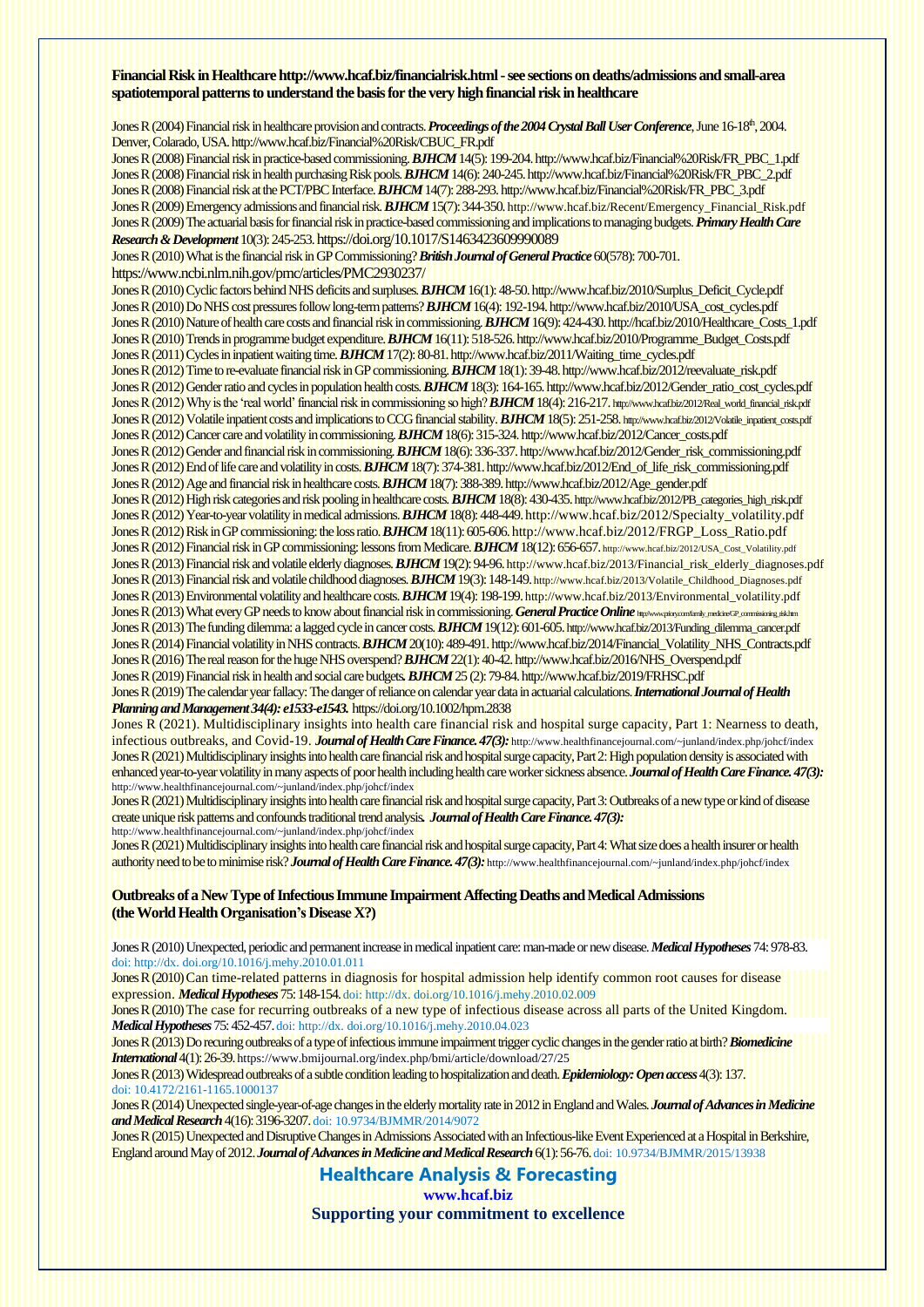#### **Financial Risk in Healthcar[e http://www.hcaf.biz/financialrisk.html-](http://www.hcaf.biz/financialrisk.html)see sections on deaths/admissions and small-area spatiotemporal patterns to understand the basis for the very high financial risk in healthcare**

Jones R (2004) Financial risk in healthcare provision and contracts. *Proceedings of the 2004 Crystal Ball User Conference*, June 16-18th, 2004. Denver, Colarado, US[A.http://www.hcaf.biz/Financial%20Risk/CBUC\\_FR.pdf](http://www.hcaf.biz/Financial%20Risk/CBUC_FR.pdf) Jones R (2008) Financial risk in practice-based commissioning. *BJHCM* 14(5):199-20[4.http://www.hcaf.biz/Financial%20Risk/FR\\_PBC\\_1.pdf](http://www.hcaf.biz/Financial%20Risk/FR_PBC_1.pdf) Jones R (2008) Financial risk in health purchasing Risk pools. *BJHCM* 14(6):240-24[5.http://www.hcaf.biz/Financial%20Risk/FR\\_PBC\\_2.pdf](http://www.hcaf.biz/Financial%20Risk/FR_PBC_2.pdf)

Jones R (2008) Financial risk at the PCT/PBC Interface. *BJHCM* 14(7):288-29[3.http://www.hcaf.biz/Financial%20Risk/FR\\_PBC\\_3.pdf](http://www.hcaf.biz/Financial%20Risk/FR_PBC_3.pdf) Jones R (2009) Emergency admissions and financial risk. *BJHCM* 15(7): 344-350. [http://www.hcaf.biz/Recent/Emergency\\_Financial\\_Risk.pdf](http://www.hcaf.biz/Recent/Emergency_Financial_Risk.pdf) Jones R (2009) The actuarial basis for financial risk in practice-based commissioning and implications to managing budgets. *Primary Health Care Research & Development*10(3): 245-253. <https://doi.org/10.1017/S1463423609990089> Jones R (2010) What is the financial risk in GP Commissioning? *British Journal of General Practice*60(578): 700-701. <https://www.ncbi.nlm.nih.gov/pmc/articles/PMC2930237/> Jones R (2010) Cyclic factors behind NHS deficits and surpluses. *BJHCM* 16(1): 48-5[0.http://www.hcaf.biz/2010/Surplus\\_Deficit\\_Cycle.pdf](http://www.hcaf.biz/2010/Surplus_Deficit_Cycle.pdf) Jones R (2010) Do NHS cost pressures follow long-term patterns? *BJHCM* 16(4): 192-194[.http://www.hcaf.biz/2010/USA\\_cost\\_cycles.pdf](http://www.hcaf.biz/2010/USA_cost_cycles.pdf) Jones R (2010) Nature of health care costs and financial risk in commissioning.*BJHCM* 16(9): 424-43[0.http://hcaf.biz/2010/Healthcare\\_Costs\\_1.pdf](http://hcaf.biz/2010/Healthcare_Costs_1.pdf) Jones R (2010) Trends in programme budget expenditure. *BJHCM* 16(11): 518-526[.http://www.hcaf.biz/2010/Programme\\_Budget\\_Costs.pdf](http://www.hcaf.biz/2010/Programme_Budget_Costs.pdf) Jones R (2011) Cycles in inpatient waiting time. *BJHCM* 17(2): 80-81[.http://www.hcaf.biz/2011/Waiting\\_time\\_cycles.pdf](http://www.hcaf.biz/2011/Waiting_time_cycles.pdf) Jones R (2012) Time to re-evaluate financial risk in GP commissioning. *BJHCM* 18(1): 39-48[.http://www.hcaf.biz/2012/reevaluate\\_risk.pdf](http://www.hcaf.biz/2012/reevaluate_risk.pdf) Jones R (2012) Gender ratio and cycles in population health costs. **BJHCM** 18(3): 164-165. http://www.hcaf.biz/2012/Gender\_ratio\_cost\_cycles.pdf Jones R (2012) Why is the 'real world' financial risk in commissioning so high? *BJHCM* 18(4): 216-217. [http://www.hcaf.biz/2012/Real\\_world\\_financial\\_risk.pdf](http://www.hcaf.biz/2012/Real_world_financial_risk.pdf) Jones R (2012) Volatile inpatient costs and implications to CCG financial stability. **BJHCM** 18(5): 251-258. [http://www.hcaf.biz/2012/Volatile\\_inpatient\\_costs.pdf](http://www.hcaf.biz/2012/Volatile_inpatient_costs.pdf) Jones R (2012) Cancer care and volatility in commissioning. *BJHCM* 18(6): 315-324[.http://www.hcaf.biz/2012/Cancer\\_costs.pdf](http://www.hcaf.biz/2012/Cancer_costs.pdf) Jones R (2012) Gender and financial risk in commissioning. *BJHCM* 18(6): 336-337[.http://www.hcaf.biz/2012/Gender\\_risk\\_commissioning.pdf](http://www.hcaf.biz/2012/Gender_risk_commissioning.pdf) Jones R (2012) End of life care and volatility in costs. *BJHCM* 18(7): 374-381[.http://www.hcaf.biz/2012/End\\_of\\_life\\_risk\\_commissioning.pdf](http://www.hcaf.biz/2012/End_of_life_risk_commissioning.pdf) Jones R (2012) Age and financial risk in healthcare costs. *BJHCM* 18(7): 388-389[.http://www.hcaf.biz/2012/Age\\_gender.pdf](http://www.hcaf.biz/2012/Age_gender.pdf) Jones R (2012) High risk categories and risk pooling in healthcare costs. *BJHCM*18(8): 430-435.[http://www.hcaf.biz/2012/PB\\_categories\\_high\\_risk.pdf](http://www.hcaf.biz/2012/PB_categories_high_risk.pdf) Jones R (2012) Year-to-year volatility in medical admissions. *BJHCM* 18(8): 448-449[.http://www.hcaf.biz/2012/Specialty\\_volatility.pdf](http://www.hcaf.biz/2012/Specialty_volatility.pdf) Jones R (2012) Risk in GP commissioning: the loss ratio. *BJHCM* 18(11): 605-606. [http://www.hcaf.biz/2012/FRGP\\_Loss\\_Ratio.pdf](http://www.hcaf.biz/2012/FRGP_Loss_Ratio.pdf) Jones R (2012) Financial risk in GP commissioning: lessons from Medicare. *BJHCM* 18(12): 656-657. [http://www.hcaf.biz/2012/USA\\_Cost\\_Volatility.pdf](http://www.hcaf.biz/2012/USA_Cost_Volatility.pdf) Jones R (2013) Financial risk and volatile elderly diagnoses. *BJHCM* 19(2): 94-96. [http://www.hcaf.biz/2013/Financial\\_risk\\_elderly\\_diagnoses.pdf](http://www.hcaf.biz/2013/Financial_risk_elderly_diagnoses.pdf) Jones R (2013) Financial risk and volatile childhood diagnoses. **BJHCM** 19(3): 148-149. [http://www.hcaf.biz/2013/Volatile\\_Childhood\\_Diagnoses.pdf](http://www.hcaf.biz/2013/Volatile_Childhood_Diagnoses.pdf) Jones R (2013) Environmental volatility and healthcare costs. *BJHCM* 19(4): 198-199.[http://www.hcaf.biz/2013/Environmental\\_volatility.pdf](http://www.hcaf.biz/2013/Environmental_volatility.pdf) Jones R (2013) What every GP needs to know about financial risk in commissioning. *General Practice Online* http://www.priory.com/family\_medicine\_General Practice Online Jones R (2013) The funding dilemma: a lagged cycle in cancer costs. **BJHCM** 19(12): 601-605. [http://www.hcaf.biz/2013/Funding\\_dilemma\\_cancer.pdf](http://www.hcaf.biz/2013/Funding_dilemma_cancer.pdf) Jones R (2014) Financial volatility in NHS contracts. *BJHCM* 20(10): 489-49[1.http://www.hcaf.biz/2014/Financial\\_Volatility\\_NHS\\_Contracts.pdf](http://www.hcaf.biz/2014/Financial_Volatility_NHS_Contracts.pdf) Jones R (2016) The real reason for the huge NHS overspend?*BJHCM*22(1): 40-42[. http://www.hcaf.biz/2016/NHS\\_Overspend.pdf](http://www.hcaf.biz/2016/NHS_Overspend.pdf) Jones R (2019) Financial risk in health and social care budgets*. BJHCM* 25 (2): 79-84[. http://www.hcaf.biz/2019/FRHSC.pdf](http://www.hcaf.biz/2019/FRHSC.pdf) Jones R (2019) The calendar year fallacy: The danger of reliance on calendar year data in actuarial calculations. *International Journal of Health Planning and Management34(4): e1533-e1543.* <https://doi.org/10.1002/hpm.2838>

Jones R (2021). Multidisciplinary insights into health care financial risk and hospital surge capacity, Part 1: Nearness to death, infectious outbreaks, and Covid-19. *Journal of Health Care Finance. 47(3):* <http://www.healthfinancejournal.com/~junland/index.php/johcf/index> Jones R (2021) Multidisciplinary insights into health care financial risk and hospital surge capacity, Part 2: High population density is associated with enhanced year-to-year volatility in many aspects of poor health including health care worker sickness absence. *Journal of Health Care Finance. 47(3):*  <http://www.healthfinancejournal.com/~junland/index.php/johcf/index>

Jones R (2021) Multidisciplinary insights into health care financial risk and hospital surge capacity, Part 3: Outbreaks of a new type or kind of disease create unique risk patterns and confounds traditional trend analysis*. Journal of Health Care Finance. 47(3):*  <http://www.healthfinancejournal.com/~junland/index.php/johcf/index>

Jones R (2021) Multidisciplinary insights into health care financial risk and hospital surge capacity, Part 4: What size does a health insurer or health authority need to be to minimise risk? *Journal of Health Care Finance. 47(3):* <http://www.healthfinancejournal.com/~junland/index.php/johcf/index>

#### **Outbreaks of a New Type of Infectious Immune Impairment Affecting Deaths and Medical Admissions (the World Health Organisation's DiseaseX?)**

Jones R (2010) Unexpected, periodic and permanent increase in medical inpatient care: man-made or new disease.*Medical Hypotheses*74: 978-83. doi: http://dx. [doi.org/10.1016/j.mehy.2010.01.011](http://dx.doi.org/10.1016/j.mehy.2010.01.011)

Jones R (2010) Can time-related patterns in diagnosis for hospital admission help identify common root causes for disease expression. *Medical Hypotheses*75: 148-154.doi: http://dx. [doi.org/10.1016/j.mehy.2010.02.009](http://dx.doi.org/10.1016/j.mehy.2010.02.009)

Jones R (2010) The case for recurring outbreaks of a new type of infectious disease across all parts of the United Kingdom. *Medical Hypotheses*75: 452-457.doi: http://dx. [doi.org/10.1016/j.mehy.2010.04.023](http://dx.doi.org/10.1016/j.mehy.2010.04.023)

Jones R (2013) Do recuring outbreaks of a type of infectious immune impairment trigger cyclic changes in the gender ratio at birth?*Biomedicine International*4(1): 26-39.<https://www.bmijournal.org/index.php/bmi/article/download/27/25>

Jones R (2013) Widespread outbreaks of a subtle condition leading to hospitalization and death. *Epidemiology: Open access* 4(3): 137. doi: [10.4172/2161-1165.1000137](http://dx.doi.org/10.4172/2161-1165.1000137)

Jones R (2014) Unexpected single-year-of-age changes in the elderly mortality rate in 2012 in England and Wales. *Journal of Advances in Medicine*  and Medical Research 4(16): 3196-3207. doi: 10.9734/BJMMR/2014/9072

Jones R (2015) Unexpected and Disruptive Changes in Admissions Associated with an Infectious-like Event Experienced at a Hospital in Berkshire, England around May of 2012. *Journal of Advances in Medicine and Medical Research*6(1): 56-76.doi: 10.9734/BJMMR/2015/13938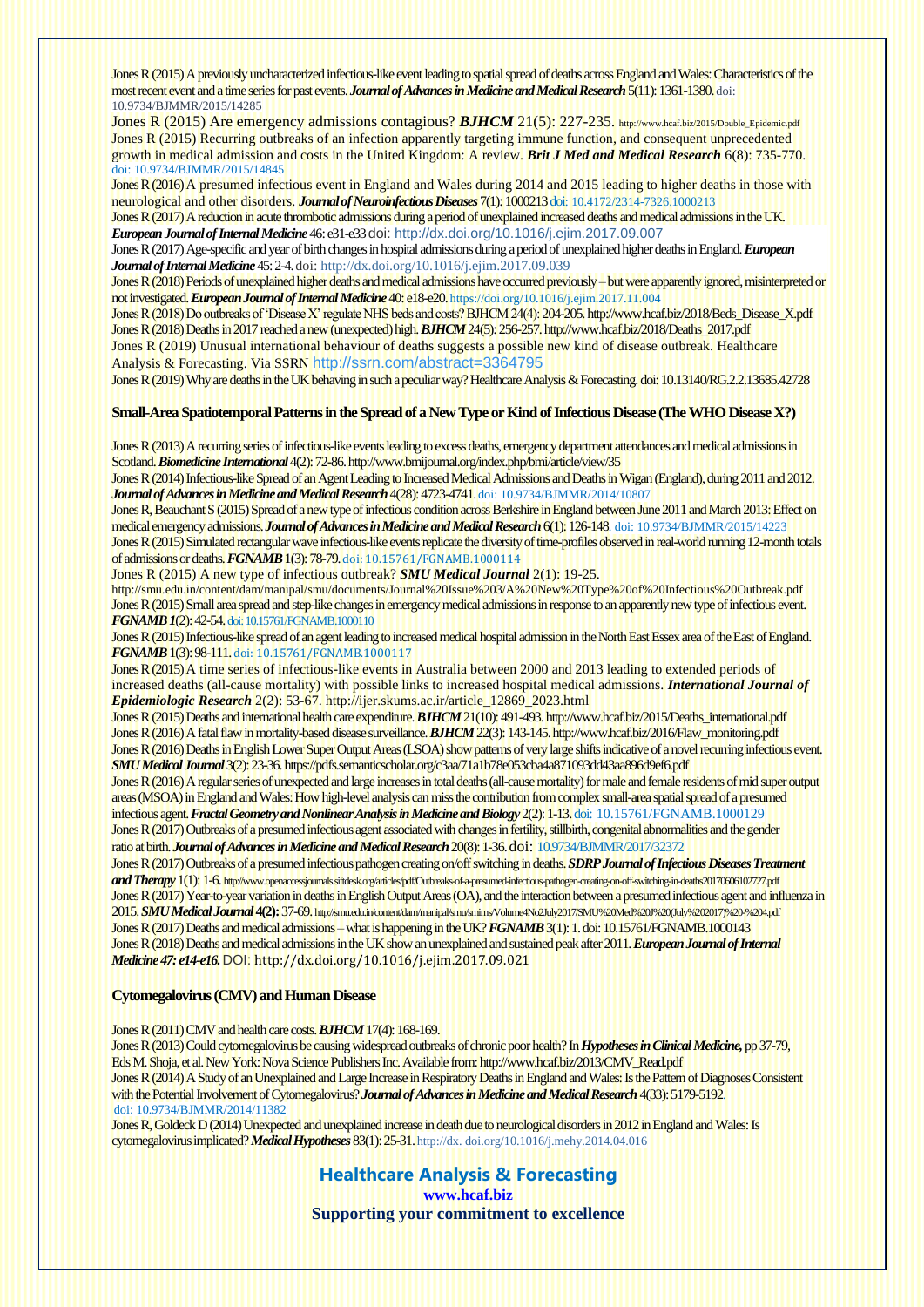Jones R (2015) A previously uncharacterized infectious-like event leading to spatial spread of deaths across England and Wales: Characteristics of the most recent event and a time series for past events. *Journal of Advances in Medicine and Medical Research*5(11): 1361-1380. doi: 10.9734/BJMMR/2015/14285

Jones R (2015) Are emergency admissions contagious? **BJHCM** 21(5): 227-235. [http://www.hcaf.biz/2015/Double\\_Epidemic.pdf](http://www.hcaf.biz/2015/Double_Epidemic.pdf) Jones R (2015) Recurring outbreaks of an infection apparently targeting immune function, and consequent unprecedented growth in medical admission and costs in the United Kingdom: A review. *Brit J Med and Medical Research* 6(8): 735-770. doi: 10.9734/BJMMR/2015/14845

Jones R (2016) A presumed infectious event in England and Wales during 2014 and 2015 leading to higher deaths in those with neurological and other disorders. *Journal of Neuroinfectious Diseases* 7(1): 1000213doi: 10.4172/2314-7326.1000213 Jones R (2017) A reduction in acute thrombotic admissions during a period of unexplained increased deaths and medical admissions in the UK.

*European Journal of Internal Medicine* 46: e31-e33doi: <http://dx.doi.org/10.1016/j.ejim.2017.09.007>

Jones R (2017) Age-specific and year of birth changes in hospital admissions during a period of unexplained higher deaths in England. *European Journal of Internal Medicine* 45: 2-4.doi: <http://dx.doi.org/10.1016/j.ejim.2017.09.039>

Jones R (2018) Periods of unexplained higher deaths and medical admissions have occurred previously –but were apparently ignored, misinterpreted or not investigated. *European Journal of Internal Medicine*40: e18-e20.<https://doi.org/10.1016/j.ejim.2017.11.004>

Jones R (2018) Do outbreaks of 'Disease X' regulate NHS beds and costs? BJHCM 24(4): 204-205. http://www.hcaf.biz/2018/Beds\_Disease\_X.pdf Jones R (2018) Deaths in 2017 reached a new (unexpected) high. *BJHCM*24(5):256-25[7.http://www.hcaf.biz/2018/Deaths\\_2017.pdf](http://www.hcaf.biz/2018/Deaths_2017.pdf) Jones R (2019) Unusual international behaviour of deaths suggests a possible new kind of disease outbreak. Healthcare Analysis & Forecasting. Via SSRN <http://ssrn.com/abstract=3364795>

Jones R (2019) Why are deaths in the UK behaving in such a peculiar way? Healthcare Analysis & Forecasting.doi: 10.13140/RG.2.2.13685.42728

#### **Small-Area Spatiotemporal Patterns in the Spread of a New Type or Kind of Infectious Disease (The WHO Disease X?)**

Jones R (2013) A recurring series of infectious-like events leading to excess deaths, emergency department attendances and medical admissions in Scotland. *Biomedicine International* 4(2): 72-86. http://www.bmijournal.org/index.php/bmi/article/view/35

Jones R (2014) Infectious-like Spread of an Agent Leading to Increased Medical Admissions and Deaths in Wigan (England), during 2011 and 2012. *Journal of Advances in Medicine and Medical Research*4(28): 4723-4741.doi: 10.9734/BJMMR/2014/10807

Jones R, Beauchant S (2015) Spread of a new type of infectious condition across Berkshire in England between June 2011 and March 2013: Effect on medical emergency admissions. *Journal of Advances in Medicine and Medical Research*6(1): 126-148. doi: 10.9734/BJMMR/2015/14223 Jones R (2015) Simulated rectangular wave infectious-like events replicate the diversity of time-profiles observed in real-world running 12-month totals of admissions or deaths. *FGNAMB*1(3): 78-79.doi: 10.15761/FGNAMB.1000114

Jones R (2015) A new type of infectious outbreak? *SMU Medical Journal* 2(1): 19-25. <http://smu.edu.in/content/dam/manipal/smu/documents/Journal%20Issue%203/A%20New%20Type%20of%20Infectious%20Outbreak.pdf> Jones R (2015) Small area spread and step-like changes in emergency medical admissions in response to an apparently new type of infectious event. *FGNAMB 1*(2): 42-54.doi: 10.15761/FGNAMB.1000110

Jones R (2015) Infectious-like spread of an agent leading to increased medical hospital admission in the North East Essex area of the East of England. *FGNAMB*1(3): 98-111.doi: 10.15761/FGNAMB.1000117

Jones R (2015) A time series of infectious-like events in Australia between 2000 and 2013 leading to extended periods of increased deaths (all-cause mortality) with possible links to increased hospital medical admissions. *International Journal of Epidemiologic Research* 2(2): 53-67[. http://ijer.skums.ac.ir/article\\_12869\\_2023.html](http://ijer.skums.ac.ir/article_12869_2023.html)

Jones R (2015) Deaths and international health care expenditure. *BJHCM*21(10): 491-49[3.http://www.hcaf.biz/2015/Deaths\\_international.pdf](http://www.hcaf.biz/2015/Deaths_international.pdf) Jones R (2016) A fatal flaw in mortality-based disease surveillance. *BJHCM*22(3): 143-145[. http://www.hcaf.biz/2016/Flaw\\_monitoring.pdf](http://www.hcaf.biz/2016/Flaw_monitoring.pdf) Jones R (2016) Deaths in English Lower Super Output Areas (LSOA) show patterns of very large shifts indicative of a novel recurring infectious event. *SMU Medical Journal* 3(2): 23-36[.https://pdfs.semanticscholar.org/c3aa/71a1b78e053cba4a871093dd43aa896d9ef6.pdf](https://pdfs.semanticscholar.org/c3aa/71a1b78e053cba4a871093dd43aa896d9ef6.pdf)

Jones R (2016) A regular series of unexpected and large increases in total deaths (all-cause mortality) for male and female residents of mid super output areas (MSOA) in England and Wales: How high-level analysis can miss the contribution from complex small-area spatial spread of a presumed infectious agent. *Fractal Geometry and Nonlinear Analysis in Medicine and Biology* 2(2): 1-13. doi: 10.15761/FGNAMB.1000129

Jones R (2017) Outbreaks of a presumed infectious agent associated with changes in fertility, stillbirth, congenital abnormalities and the gender ratio at birth. *Journal of Advances in Medicine and Medical Research*20(8): 1-36.doi: 10.9734/BJMMR/2017/32372

Jones R (2017) Outbreaks of a presumed infectious pathogen creating on/off switching in deaths. *SDRP Journal of Infectious Diseases Treatment and Therapy*1(1): 1-6. <http://www.openaccessjournals.siftdesk.org/articles/pdf/Outbreaks-of-a-presumed-infectious-pathogen-creating-on-off-switching-in-deaths20170606102727.pdf> Jones R (2017) Year-to-year variation in deaths in English Output Areas (OA), and the interaction between a presumed infectious agent and influenza in 2015. *SMU Medical Journal* **4(2):**37-69. [http://smu.edu.in/content/dam/manipal/smu/smims/Volume4No2July2017/SMU%20Med%20J%20\(July%202017\)%20-%204.pdf](http://smu.edu.in/content/dam/manipal/smu/smims/Volume4No2July2017/SMU%20Med%20J%20(July%202017)%20-%204.pdf) Jones R (2017) Deaths and medical admissions –what is happening in the UK? *FGNAMB*3(1): 1. doi: 10.15761/FGNAMB.1000143 Jones R (2018) Deaths and medical admissions in the UK show an unexplained and sustained peak after 2011. *European Journal of Internal Medicine 47: e14-e16.*DOI: <http://dx.doi.org/10.1016/j.ejim.2017.09.021>

#### **Cytomegalovirus (CMV) and Human Disease**

Jones R (2011) CMV and health care costs. *BJHCM* 17(4): 168-169.

Jones R (2013) Could cytomegalovirus be causing widespread outbreaks of chronic poor health? In *Hypotheses in Clinical Medicine,* pp 37-79, Eds M. Shoja, et al. New York: Nova Science Publishers Inc. Available from[:http://www.hcaf.biz/2013/CMV\\_Read.pdf](http://www.hcaf.biz/2013/CMV_Read.pdf) Jones R (2014) A Study of an Unexplained and Large Increase in Respiratory Deaths in England and Wales: Is the Pattern of Diagnoses Consistent with the Potential Involvement of Cytomegalovirus? *Journal of Advances in Medicine and Medical Research*4(33): 5179-5192. doi: 10.9734/BJMMR/2014/11382

Jones R, Goldeck D (2014) Unexpected and unexplained increase in death due to neurological disorders in 2012 in England and Wales: Is cytomegalovirus implicated?*Medical Hypotheses*83(1): 25-31.http://dx. [doi.org/10.1016/j.mehy.2014.04.016](http://dx.doi.org/10.1016/j.mehy.2014.04.016)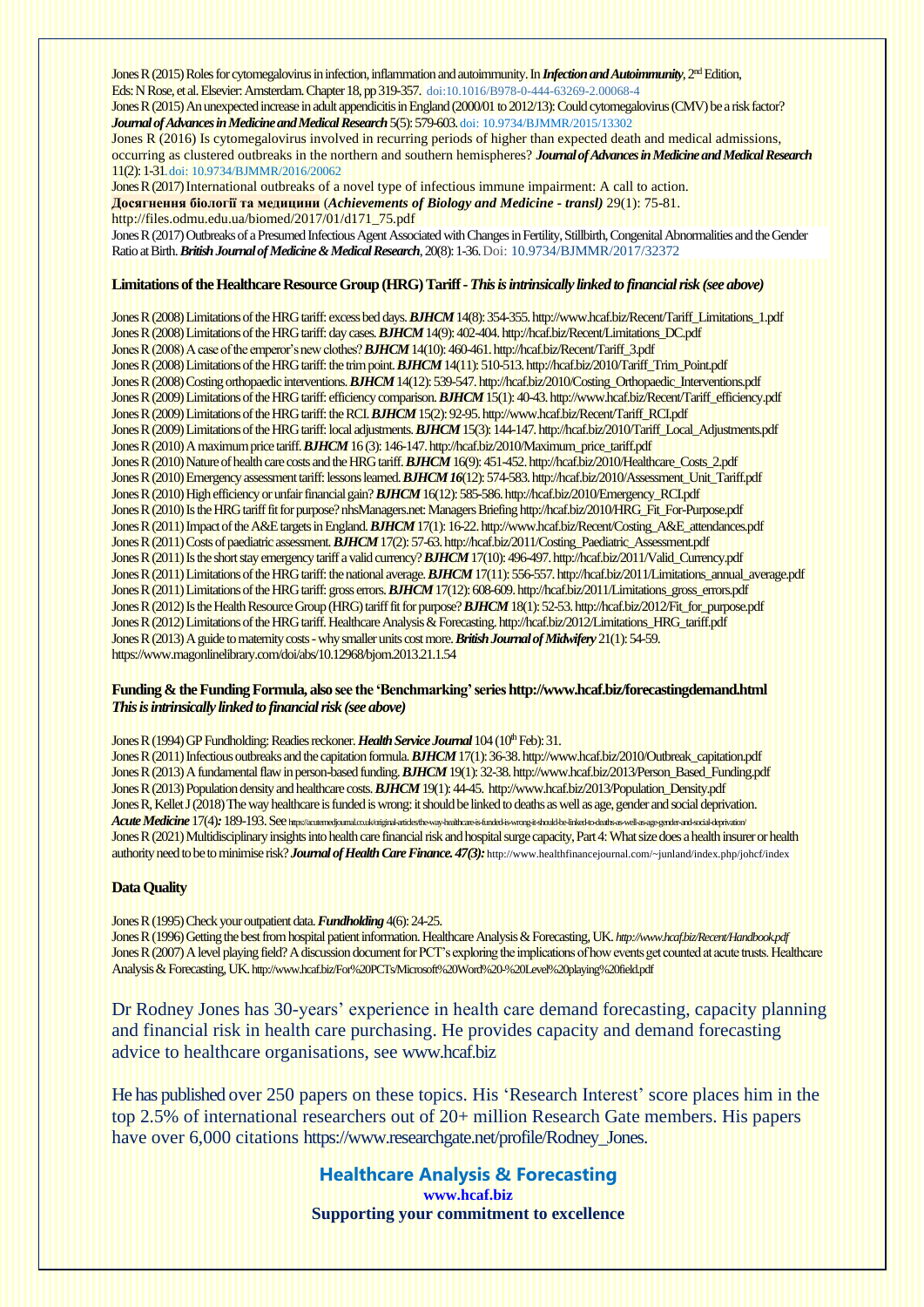Jones R (2015) Roles for cytomegalovirus in infection, inflammation and autoimmunity. In *Infection and Autoimmunit*y, 2<sup>nd</sup> Edition, Eds: N Rose, et al. Elsevier: Amsterdam. Chapter 18, pp 319-357. [doi:10.1016/B978-0-444-63269-2.00068-4](http://dx.doi.org/10.1016/B978-0-444-63269-2.00068-4)

Jones R (2015) An unexpected increase in adult appendicitis in England (2000/01 to 2012/13): Could cytomegalovirus (CMV) be a risk factor? *Journal of Advances in Medicine and Medical Research*5(5): 579-603.doi: 10.9734/BJMMR/2015/13302

Jones R (2016) Is cytomegalovirus involved in recurring periods of higher than expected death and medical admissions, occurring as clustered outbreaks in the northern and southern hemispheres? *Journal of Advances in Medicine and Medical Research* 11(2): 1-31.doi: 10.9734/BJMMR/2016/20062

Jones R (2017) International outbreaks of a novel type of infectious immune impairment: A call to action. **[Досягнення біології та медицини](http://www.irbis-nbuv.gov.ua/cgi-bin/irbis_nbuv/cgiirbis_64.exe?Z21ID=&I21DBN=UJRN&P21DBN=UJRN&S21STN=1&S21REF=10&S21FMT=juu_all&C21COM=S&S21CNR=20&S21P01=0&S21P02=0&S21P03=I=&S21COLORTERMS=0&S21STR=%D0%9624327)** (*Achievements of Biology and Medicine - transl)* 29(1): 75-81. [http://files.odmu.edu.ua/biomed/2017/01/d171\\_75.pdf](http://files.odmu.edu.ua/biomed/2017/01/d171_75.pdf)

Jones R (2017[\) Outbreaks of a Presumed Infectious Agent Associated with Changes in Fertility, Stillbirth, Congenital Abnormalities and the Gender](https://papers.ssrn.com/sol3/papers.cfm?abstract_id=3014170)  [Ratio at Birth.](https://papers.ssrn.com/sol3/papers.cfm?abstract_id=3014170) *British Journal of Medicine & Medical Research*, 20(8): 1-36. Doi[: 10.9734/BJMMR/2017/32372](https://doi.org/10.9734/BJMMR/2017/32372)

#### Limitations of the Healthcare Resource Group (HRG) Tariff - *This is intrinsically linked to financial risk (see above)*

Jones R (2008) Limitations of the HRG tariff: excess bed days. **BJHCM** 14(8): 354-355. http://www.hcaf.biz/Recent/Tariff\_Limitations\_1.pdf Jones R (2008) Limitations of the HRG tariff: day cases. **BJHCM** 14(9): 402-404. http://hcaf.biz/Recent/Limitations\_DC.pdf Jones R (2008) A case of the emperor's new clothes? *BJHCM* 14(10):460-461[.http://hcaf.biz/Recent/Tariff\\_3.pdf](http://hcaf.biz/Recent/Tariff_3.pdf) Jones R (2008) Limitations of the HRG tariff: the trim point. *BJHCM* 14(11): 510-513. http://hcaf.biz/2010/Tariff\_Trim\_Point.pdf Jones R (2008) Costing orthopaedic interventions. *BJHCM* 14(12):539-547[. http://hcaf.biz/2010/Costing\\_Orthopaedic\\_Interventions.pdf](http://hcaf.biz/2010/Costing_Orthopaedic_Interventions.pdf) Jones R (2009) Limitations of the HRG tariff: efficiency comparison. *BJHCM* 15(1):40-43[.http://www.hcaf.biz/Recent/Tariff\\_efficiency.pdf](http://www.hcaf.biz/Recent/Tariff_efficiency.pdf) Jones R (2009) Limitations of the HRG tariff: the RCI. *BJHCM* 15(2): 92-95. http://www.hcaf.biz/Recent/Tariff\_RCI.pdf Jones R (2009) Limitations of the HRG tariff:local adjustments. *BJHCM* 15(3):144-147[. http://hcaf.biz/2010/Tariff\\_Local\\_Adjustments.pdf](http://hcaf.biz/2010/Tariff_Local_Adjustments.pdf) Jones R (2010) A maximum price tariff. **BJHCM** 16 (3): 146-147. http://hcaf.biz/2010/Maximum\_price\_tariff.pdf Jones R (2010) Nature of health care costs and the HRG tariff. *BJHCM* 16(9): 451-45[2. http://hcaf.biz/2010/Healthcare\\_Costs\\_2.pdf](http://hcaf.biz/2010/Healthcare_Costs_2.pdf) Jones R (2010) Emergency assessment tariff: lessons learned. **BJHCM 16**(12): 574-583. http://hcaf.biz/2010/Assessment\_Unit\_Tariff.pdf Jones R (2010) High efficiency or unfair financial gain? *BJHCM* 16(12): 585-586[.http://hcaf.biz/2010/Emergency\\_RCI.pdf](http://hcaf.biz/2010/Emergency_RCI.pdf) Jones R (2010) Is the HRG tariff fit for purpose? nhsManagers.net: Managers Briefin[g http://hcaf.biz/2010/HRG\\_Fit\\_For-Purpose.pdf](http://hcaf.biz/2010/HRG_Fit_For-Purpose.pdf) Jones R (2011) Impact of the A&E targets in England. *BJHCM* 17(1): 16-22[.http://www.hcaf.biz/Recent/Costing\\_A&E\\_attendances.pdf](http://www.hcaf.biz/Recent/Costing_A&E_attendances.pdf) Jones R (2011) Costs of paediatric assessment. **BJHCM** 17(2): 57-63. http://hcaf.biz/2011/Costing\_Paediatric\_Assessment.pdf Jones R (2011) Is the short stay emergency tariff a valid currency? *BJHCM* 17(10): 496-497[.http://hcaf.biz/2011/Valid\\_Currency.pdf](http://hcaf.biz/2011/Valid_Currency.pdf) Jones R (2011) Limitations of the HRG tariff: the national average. *BJHCM* 17(11): 556-557[.http://hcaf.biz/2011/Limitations\\_annual\\_average.pdf](http://hcaf.biz/2011/Limitations_annual_average.pdf) Jones R (2011) Limitations of the HRG tariff: gross errors. *BJHCM* 17(12): 608-609[. http://hcaf.biz/2011/Limitations\\_gross\\_errors.pdf](http://hcaf.biz/2011/Limitations_gross_errors.pdf) Jones R (2012) Is the Health Resource Group (HRG) tariff fit for purpose? **BJHCM** 18(1): 52-53. http://hcaf.biz/2012/Fit\_for\_purpose.pdf Jones R (2012) Limitations of the HRG tariff. Healthcare Analysis & Forecasting[. http://hcaf.biz/2012/Limitations\\_HRG\\_tariff.pdf](http://hcaf.biz/2012/Limitations_HRG_tariff.pdf) Jones R (2013) A guide to maternity costs - why smaller units cost more. *British Journal of Midwifery* 21(1): 54-59. <https://www.magonlinelibrary.com/doi/abs/10.12968/bjom.2013.21.1.54>

#### **Funding & the Funding Formula, also see the 'Benchmarking' serie[s http://www.hcaf.biz/forecastingdemand.html](http://www.hcaf.biz/forecastingdemand.html)** *This is intrinsically linked to financial risk (see above)*

Jones R (1994) GP Fundholding: Readies reckoner. *Health Service Journal* 104 (10<sup>th</sup> Feb): 31.

Jones R (2011) Infectious outbreaks and the capitation formula. *BJHCM* 17(1): 36-38[.http://www.hcaf.biz/2010/Outbreak\\_capitation.pdf](http://www.hcaf.biz/2010/Outbreak_capitation.pdf) Jones R (2013) A fundamental flaw in person-based funding.*BJHCM* 19(1): 32-38[.http://www.hcaf.biz/2013/Person\\_Based\\_Funding.pdf](http://www.hcaf.biz/2013/Person_Based_Funding.pdf) Jones R (2013) Population density and healthcare costs.*BJHCM* 19(1): 44-45[. http://www.hcaf.biz/2013/Population\\_Density.pdf](http://www.hcaf.biz/2013/Population_Density.pdf) Jones R, Kellet J (2018) The way healthcare is funded is wrong: it should be linked to deaths as well as age, gender and social deprivation. Acute Medicine 17(4): 189-193. See https://acutemedjournal.co.uk/original-articles/the-way-healthcare-is-funded-is-word-gended-as-well-as-age-gender-and-social-deprivation/ Jones R (2021) Multidisciplinary insights into health care financial risk and hospital surge capacity, Part 4: What size does a health insurer or health authority need to be to minimise risk? *Journal of Health Care Finance. 47(3):* <http://www.healthfinancejournal.com/~junland/index.php/johcf/index>

#### **Data Quality**

Jones R (1995) Check your outpatient data. *Fundholding* 4(6): 24-25.

Jones R (1996) Getting the best from hospital patient information. Healthcare Analysis & Forecasting, UK. *<http://www.hcaf.biz/Recent/Handbook.pdf>* Jones R (2007) A level playing field? A discussion document for PCT's exploring the implications of how events get counted at acute trusts. Healthcare Analysis & Forecasting, UK.<http://www.hcaf.biz/For%20PCTs/Microsoft%20Word%20-%20Level%20playing%20field.pdf>

Dr Rodney Jones has 30-years' experience in health care demand forecasting, capacity planning and financial risk in health care purchasing. He provides capacity and demand forecasting advice to healthcare organisations, see<www.hcaf.biz>

He has published over 250 papers on these topics. His 'Research Interest' score places him in the top 2.5% of international researchers out of 20+ million Research Gate members. His papers have over 6,000 citations [https://www.researchgate.net/profile/Rodney\\_Jones.](https://www.researchgate.net/profile/Rodney_Jones)